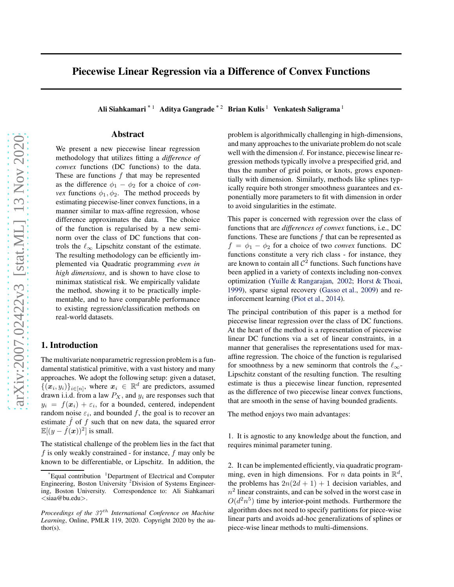# Piecewise Linear Regression via a Difference of Convex Functions

Ali Siahkamari<sup>\* 1</sup> Aditya Gangrade<sup>\* 2</sup> Brian Kulis <sup>1</sup> Venkatesh Saligrama <sup>1</sup>

#### Abstract

We present a new piecewise linear regression methodology that utilizes fitting a *difference of convex* functions (DC functions) to the data. These are functions  $f$  that may be represented as the difference  $\phi_1 - \phi_2$  for a choice of *convex* functions  $\phi_1, \phi_2$ . The method proceeds by estimating piecewise-liner convex functions, in a manner similar to max-affine regression, whose difference approximates the data. The choice of the function is regularised by a new seminorm over the class of DC functions that controls the  $\ell_{\infty}$  Lipschitz constant of the estimate. The resulting methodology can be efficiently implemented via Quadratic programming *even in high dimensions*, and is shown to have close to minimax statistical risk. We empirically validate the method, showing it to be practically implementable, and to have comparable performance to existing regression/classification methods on real-world datasets.

## 1. Introduction

The multivariate nonparametric regression problem is a fundamental statistical primitive, with a vast history and many approaches. We adopt the following setup: given a dataset,  $\{(\boldsymbol{x}_i, y_i)\}_{i \in [n]}$ , where  $\boldsymbol{x}_i \in \mathbb{R}^d$  are predictors, assumed drawn i.i.d. from a law  $P_X$ , and  $y_i$  are responses such that  $y_i = f(x_i) + \varepsilon_i$ , for a bounded, centered, independent random noise  $\varepsilon_i$ , and bounded f, the goal is to recover an estimate  $\hat{f}$  of f such that on new data, the squared error  $\mathbb{E}[(y - \hat{f}(\boldsymbol{x}))^2]$  is small.

The statistical challenge of the problem lies in the fact that  $f$  is only weakly constrained - for instance,  $f$  may only be known to be differentiable, or Lipschitz. In addition, the problem is algorithmically challenging in high-dimensions, and many approaches to the univariate problem do not scale well with the dimension d. For instance, piecewise linear regression methods typically involve a prespecified grid, and thus the number of grid points, or knots, grows exponentially with dimension. Similarly, methods like splines typically require both stronger smoothness guarantees and exponentially more parameters to fit with dimension in order to avoid singularities in the estimate.

This paper is concerned with regression over the class of functions that are *differences of convex* functions, i.e., DC functions. These are functions  $f$  that can be represented as  $f = \phi_1 - \phi_2$  for a choice of two *convex* functions. DC functions constitute a very rich class - for instance, they are known to contain all  $\mathcal{C}^2$  functions. Such functions have been applied in a variety of contexts including non-convex optimization [\(Yuille & Rangarajan,](#page-10-0) [2002;](#page-10-0) [Horst & Thoai](#page-9-0), [1999\)](#page-9-0), sparse signal recovery [\(Gasso et al.,](#page-9-0) [2009\)](#page-9-0) and reinforcement learning [\(Piot et al.,](#page-9-0) [2014\)](#page-9-0).

The principal contribution of this paper is a method for piecewise linear regression over the class of DC functions. At the heart of the method is a representation of piecewise linear DC functions via a set of linear constraints, in a manner that generalises the representations used for maxaffine regression. The choice of the function is regularised for smoothness by a new seminorm that controls the  $\ell_{\infty}$ -Lipschitz constant of the resulting function. The resulting estimate is thus a piecewise linear function, represented as the difference of two piecewise linear convex functions, that are smooth in the sense of having bounded gradients.

The method enjoys two main advantages:

1. It is agnostic to any knowledge about the function, and requires minimal parameter tuning.

2. It can be implemented efficiently, via quadratic programming, even in high dimensions. For *n* data points in  $\mathbb{R}^d$ , the problems has  $2n(2d + 1) + 1$  decision variables, and  $n<sup>2</sup>$  linear constraints, and can be solved in the worst case in  $O(d^2n^5)$  time by interior-point methods. Furthermore the algorithm does not need to specify partitions for piece-wise linear parts and avoids ad-hoc generalizations of splines or piece-wise linear methods to multi-dimensions.

<sup>&</sup>lt;sup>Exaual</sup> contribution <sup>1</sup>Department of Electrical and Computer Engineering, Boston University <sup>2</sup>Division of Systems Engineering, Boston University. Correspondence to: Ali Siahkamari <siaa@bu.edu>.

*Proceedings of the 37<sup>th</sup> International Conference on Machine Learning*, Online, PMLR 119, 2020. Copyright 2020 by the author(s).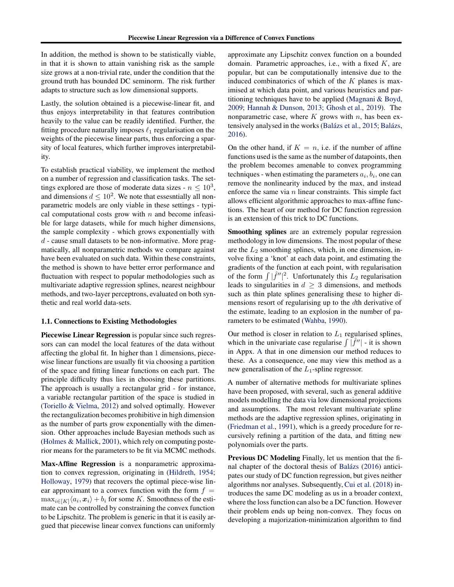<span id="page-1-0"></span>In addition, the method is shown to be statistically viable, in that it is shown to attain vanishing risk as the sample size grows at a non-trivial rate, under the condition that the ground truth has bounded DC seminorm. The risk further adapts to structure such as low dimensional supports.

Lastly, the solution obtained is a piecewise-linear fit, and thus enjoys interpretability in that features contribution heavily to the value can be readily identified. Further, the fitting procedure naturally imposes  $\ell_1$  regularisation on the weights of the piecewise linear parts, thus enforcing a sparsity of local features, which further improves interpretability.

To establish practical viability, we implement the method on a number of regression and classification tasks. The settings explored are those of moderate data sizes -  $n \leq 10^3$ , and dimensions  $d \leq 10^2$ . We note that essesntially all nonparametric models are only viable in these settings - typical computational costs grow with  $n$  and become infeasible for large datasets, while for much higher dimensions, the sample complexity - which grows exponentially with  $d$  - cause small datasets to be non-informative. More pragmatically, all nonparametric methods we compare against have been evaluated on such data. Within these constraints, the method is shown to have better error performance and fluctuation with respect to popular methodologies such as multivariate adaptive regression splines, nearest neighbour methods, and two-layer perceptrons, evaluated on both synthetic and real world data-sets.

#### 1.1. Connections to Existing Methodologies

Piecewise Linear Regression is popular since such regressors can can model the local features of the data without affecting the global fit. In higher than 1 dimensions, piecewise linear functions are usually fit via choosing a partition of the space and fitting linear functions on each part. The principle difficulty thus lies in choosing these partitions. The approach is usually a rectangular grid - for instance, a variable rectangular partition of the space is studied in [\(Toriello & Vielma](#page-10-0), [2012\)](#page-10-0) and solved optimally. However the rectangulization becomes prohibitive in high dimension as the number of parts grow exponentially with the dimension. Other approaches include Bayesian methods such as [\(Holmes & Mallick](#page-9-0), [2001\)](#page-9-0), which rely on computing posterior means for the parameters to be fit via MCMC methods.

Max-Affine Regression is a nonparametric approximation to convex regression, originating in [\(Hildreth](#page-9-0), [1954;](#page-9-0) [Holloway,](#page-9-0) [1979](#page-9-0)) that recovers the optimal piece-wise linear approximant to a convex function with the form  $f =$  $\max_{i \in [K]} \langle a_i, x_i \rangle + b_i$  for some K. Smoothness of the estimate can be controlled by constraining the convex function to be Lipschitz. The problem is generic in that it is easily argued that piecewise linear convex functions can uniformly approximate any Lipschitz convex function on a bounded domain. Parametric approaches, i.e., with a fixed  $K$ , are popular, but can be computationally intensive due to the induced combinatorics of which of the  $K$  planes is maximised at which data point, and various heuristics and partitioning techniques have to be applied [\(Magnani & Boyd](#page-9-0), [2009;](#page-9-0) [Hannah & Dunson](#page-9-0), [2013](#page-9-0); [Ghosh et al.](#page-9-0), [2019](#page-9-0)). The nonparametric case, where  $K$  grows with  $n$ , has been ex-tensively analysed in the works (Balázs et al., [2015;](#page-9-0) Balázs, [2016\)](#page-9-0).

On the other hand, if  $K = n$ , i.e. if the number of affine functions used is the same as the number of datapoints, then the problem becomes amenable to convex programming techniques - when estimating the parameters  $a_i, b_i$ , one can remove the nonlinearity induced by the max, and instead enforce the same via  $n$  linear constraints. This simple fact allows efficient algorithmic approaches to max-affine functions. The heart of our method for DC function regression is an extension of this trick to DC functions.

Smoothing splines are an extremely popular regression methodology in low dimensions. The most popular of these are the  $L_2$  smoothing splines, which, in one dimension, involve fixing a 'knot' at each data point, and estimating the gradients of the function at each point, with regularisation of the form  $\int |\hat{f}''|^2$ . Unfortunately this  $L_2$  regularisation leads to singularities in  $d \geq 3$  dimensions, and methods such as thin plate splines generalising these to higher dimensions resort of regularising up to the dth derivative of the estimate, leading to an explosion in the number of parameters to be estimated [\(Wahba,](#page-10-0) [1990\)](#page-10-0).

Our method is closer in relation to  $L_1$  regularised splines, which in the univariate case regularise  $\int |\hat{f}^{\prime\prime}|$  - it is shown in Appx. [A](#page-11-0) that in one dimension our method reduces to these. As a consequence, one may view this method as a new generalisation of the  $L_1$ -spline regressor.

A number of alternative methods for multivariate splines have been proposed, with several, such as general additive models modelling the data via low dimensional projections and assumptions. The most relevant multivariate spline methods are the adaptive regression splines, originating in [\(Friedman et al.,](#page-9-0) [1991\)](#page-9-0), which is a greedy procedure for recursively refining a partition of the data, and fitting new polynomials over the parts.

Previous DC Modeling Finally, let us mention that the fi-nal chapter of the doctoral thesis of Balázs [\(2016\)](#page-9-0) anticipates our study of DC function regression, but gives neither algorithms nor analyses. Subsequently, [Cui et al.](#page-9-0) [\(2018\)](#page-9-0) introduces the same DC modeling as us in a broader context, where the loss function can also be a DC function. However their problem ends up being non-convex. They focus on developing a majorization-minimization algorithm to find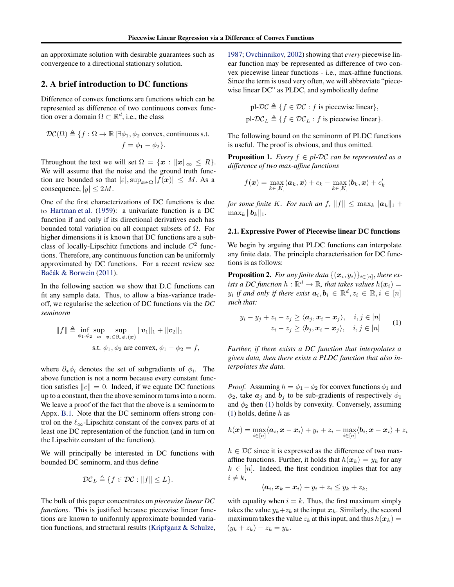<span id="page-2-0"></span>an approximate solution with desirable guarantees such as convergence to a directional stationary solution.

## 2. A brief introduction to DC functions

Difference of convex functions are functions which can be represented as difference of two continuous convex function over a domain  $\Omega \subset \mathbb{R}^d$ , i.e., the class

$$
\mathcal{DC}(\Omega) \triangleq \{f:\Omega \rightarrow \mathbb{R} \, | \exists \phi_1, \phi_2 \text{ convex, continuous s.t. } f = \phi_1 - \phi_2\}.
$$

Throughout the text we will set  $\Omega = \{x : ||x||_{\infty} \leq R\}.$ We will assume that the noise and the ground truth function are bounded so that  $|\varepsilon|$ ,  $\sup_{x \in \Omega} |f(x)| \leq M$ . As a consequence,  $|y| \le 2M$ .

One of the first characterizations of DC functions is due to [Hartman et al.](#page-9-0) [\(1959](#page-9-0)): a univariate function is a DC function if and only if its directional derivatives each has bounded total variation on all compact subsets of  $\Omega$ . For higher dimensions it is known that DC functions are a subclass of locally-Lipschitz functions and include  $C<sup>2</sup>$  functions. Therefore, any continuous function can be uniformly approximated by DC functions. For a recent review see Bačák & Borwein [\(2011](#page-9-0)).

In the following section we show that D.C functions can fit any sample data. Thus, to allow a bias-variance tradeoff, we regularise the selection of DC functions via the *DC seminorm*

$$
||f|| \triangleq \inf_{\phi_1, \phi_2} \sup_{\mathbf{x}} \sup_{\mathbf{v}_i \in \partial_* \phi_i(\mathbf{x})} ||\mathbf{v}_1||_1 + ||\mathbf{v}_2||_1
$$
  
s.t.  $\phi_1, \phi_2$  are convex,  $\phi_1 - \phi_2 = f$ ,

where  $\partial_* \phi_i$  denotes the set of subgradients of  $\phi_i$ . The above function is not a norm because every constant function satisfies  $||c|| = 0$ . Indeed, if we equate DC functions up to a constant, then the above seminorm turns into a norm. We leave a proof of the fact that the above is a seminorm to Appx. [B.1.](#page-12-0) Note that the DC seminorm offers strong control on the  $\ell_{\infty}$ -Lipschitz constant of the convex parts of at least one DC representation of the function (and in turn on the Lipschitz constant of the function).

We will principally be interested in DC functions with bounded DC seminorm, and thus define

$$
\mathcal{DC}_L \triangleq \{ f \in \mathcal{DC} : ||f|| \leq L \}.
$$

The bulk of this paper concentrates on *piecewise linear DC functions*. This is justified because piecewise linear functions are known to uniformly approximate bounded variation functions, and structural results [\(Kripfganz & Schulze](#page-9-0),

[1987;](#page-9-0) [Ovchinnikov,](#page-9-0) [2002\)](#page-9-0) showing that *every* piecewise linear function may be represented as difference of two convex piecewise linear functions - i.e., max-affine functions. Since the term is used very often, we will abbreviate "piecewise linear DC" as PLDC, and symbolically define

pl-
$$
\mathcal{DC} \triangleq \{f \in \mathcal{DC} : f \text{ is piecewise linear}\},
$$
  
pl- $\mathcal{DC}_L \triangleq \{f \in \mathcal{DC}_L : f \text{ is piecewise linear}\}.$ 

The following bound on the seminorm of PLDC functions is useful. The proof is obvious, and thus omitted.

**Proposition 1.** *Every*  $f \in pl$ - $DC$  *can be represented as a difference of two max-affine functions*

$$
f(\boldsymbol{x}) = \max_{k \in [K]} \langle \boldsymbol{a}_k, \boldsymbol{x}\rangle + c_k - \max_{k \in [K]} \langle \boldsymbol{b}_k, \boldsymbol{x}\rangle + c'_k
$$

*for some finite* K*. For such an f,*  $||f|| \leq \max_k ||a_k||_1 +$  $\max_k \|\boldsymbol{b}_k\|_1.$ 

#### 2.1. Expressive Power of Piecewise linear DC functions

We begin by arguing that PLDC functions can interpolate any finite data. The principle characterisation for DC functions is as follows:

**Proposition 2.** For any finite data  $\{(\boldsymbol{x}_i, y_i)\}_{i \in [n]}$ , there ex*ists a DC function*  $h : \mathbb{R}^d \to \mathbb{R}$ *, that takes values*  $h(x_i) =$  $y_i$  if and only if there exist  $a_i, b_i \in \mathbb{R}^d, z_i \in \mathbb{R}, i \in [n]$ *such that:*

$$
y_i - y_j + z_i - z_j \ge \langle \mathbf{a}_j, \mathbf{x}_i - \mathbf{x}_j \rangle, \quad i, j \in [n]
$$
  

$$
z_i - z_j \ge \langle \mathbf{b}_j, \mathbf{x}_i - \mathbf{x}_j \rangle, \quad i, j \in [n]
$$
 (1)

*Further, if there exists a DC function that interpolates a given data, then there exists a PLDC function that also interpolates the data.*

*Proof.* Assuming  $h = \phi_1 - \phi_2$  for convex functions  $\phi_1$  and  $\phi_2$ , take  $a_i$  and  $b_i$  to be sub-gradients of respectively  $\phi_1$ and  $\phi_2$  then (1) holds by convexity. Conversely, assuming (1) holds, define  $h$  as

$$
h(\boldsymbol{x}) = \max_{i \in [n]} \langle \boldsymbol{a}_i, \boldsymbol{x} - \boldsymbol{x}_i \rangle + y_i + z_i - \max_{i \in [n]} \langle \boldsymbol{b}_i, \boldsymbol{x} - \boldsymbol{x}_i \rangle + z_i
$$

 $h \in \mathcal{DC}$  since it is expressed as the difference of two maxaffine functions. Further, it holds that  $h(x_k) = y_k$  for any  $k \in [n]$ . Indeed, the first condition implies that for any  $i \neq k$ ,

$$
\langle \boldsymbol{a}_i, \boldsymbol{x}_k - \boldsymbol{x}_i \rangle + y_i + z_i \leq y_k + z_k,
$$

with equality when  $i = k$ . Thus, the first maximum simply takes the value  $y_k+z_k$  at the input  $x_k$ . Similarly, the second maximum takes the value  $z_k$  at this input, and thus  $h(x_k) =$  $(y_k + z_k) - z_k = y_k$ .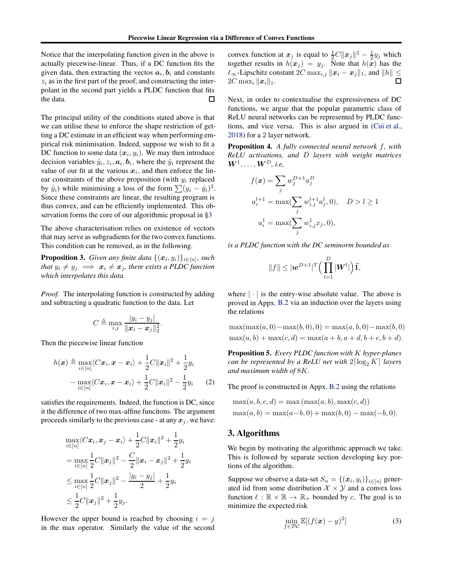<span id="page-3-0"></span>Notice that the interpolating function given in the above is actually piecewise-linear. Thus, if a DC function fits the given data, then extracting the vectos  $a_i, b_i$  and constants  $z_i$  as in the first part of the proof, and constructing the interpolant in the second part yields a PLDC function that fits the data. □

The principal utility of the conditions stated above is that we can utilise these to enforce the shape restriction of getting a DC estimate in an efficient way when performing empirical risk minimisation. Indeed, suppose we wish to fit a DC function to some data  $(x_i, y_i)$ . We may then introduce decision variables  $\hat{y}_i, z_i, \boldsymbol{a}_i, \boldsymbol{b}_i$ , where the  $\hat{y}_i$  represent the value of our fit at the various  $x_i$ , and then enforce the linear constraints of the above proposition (with  $y_i$  replaced by  $\hat{y}_i$ ) while minimising a loss of the form  $\sum (y_i - \hat{y}_i)^2$ . Since these constraints are linear, the resulting program is thus convex, and can be efficiently implemented. This observation forms the core of our algorithmic proposal in §3

The above characterisation relies on existence of vectors that may serve as subgradients for the two convex functions. This condition can be removed, as in the following.

**Proposition 3.** *Given any finite data*  $\{(\boldsymbol{x}_i, y_i)\}_{i \in [n]},$  *such that*  $y_i \neq y_j \implies x_i \neq x_j$ *, there exists a PLDC function which interpolates this data.*

*Proof.* The interpolating function is constructed by adding and subtracting a quadratic function to the data. Let

$$
C \triangleq \max_{i,j} \frac{|y_i - y_j|}{\|\mathbf{x}_i - \mathbf{x}_j\|_2^2}.
$$

Then the piecewise linear function

$$
h(\boldsymbol{x}) \triangleq \max_{i \in [n]} \langle C\boldsymbol{x}_i, \boldsymbol{x} - \boldsymbol{x}_i \rangle + \frac{1}{2}C \|\boldsymbol{x}_i\|^2 + \frac{1}{2}y_i
$$

$$
- \max_{i \in [n]} \langle C\boldsymbol{x}_i, \boldsymbol{x} - \boldsymbol{x}_i \rangle + \frac{1}{2}C \|\boldsymbol{x}_i\|^2 - \frac{1}{2}y_i \qquad (2)
$$

satisfies the requirements. Indeed, the function is DC, since it the difference of two max-affine funcitons. The argument proceeds similarly to the previous case - at any  $x_j$ , we have:

$$
\max_{i \in [n]} \langle C\boldsymbol{x}_i, \boldsymbol{x}_j - \boldsymbol{x}_i \rangle + \frac{1}{2}C ||\boldsymbol{x}_i||^2 + \frac{1}{2}y_i
$$
\n
$$
= \max_{i \in [n]} \frac{1}{2}C ||\boldsymbol{x}_j||^2 - \frac{C}{2} ||\boldsymbol{x}_i - \boldsymbol{x}_j||^2 + \frac{1}{2}y_i
$$
\n
$$
\leq \max_{i \in [n]} \frac{1}{2}C ||\boldsymbol{x}_j||^2 - \frac{|y_i - y_j|}{2} + \frac{1}{2}y_i
$$
\n
$$
\leq \frac{1}{2}C ||\boldsymbol{x}_j||^2 + \frac{1}{2}y_j.
$$

However the upper bound is reached by choosing  $i = j$ in the max operator. Similarly the value of the second

convex function at  $x_j$  is equal to  $\frac{1}{2}C||x_j||^2 - \frac{1}{2}y_j$  which together results in  $h(x_j) = y_j$ . Note that  $h(x)$  has the  $\ell_{\infty}$ -Lipschitz constant  $2C \max_{i,j} ||\mathbf{x}_i - \mathbf{x}_j||_1$ , and  $||h|| \le 2C \max_i ||\mathbf{x}_i||_1$ .  $2C \max_i ||\boldsymbol{x}_i||_1.$ 

Next, in order to contextualise the expressiveness of DC functions, we argue that the popular parametric class of ReLU neural networks can be represented by PLDC functions, and vice versa. This is also argued in [\(Cui et al.](#page-9-0), [2018\)](#page-9-0) for a 2 layer network.

Proposition 4. *A fully connected neural network* f*, with ReLU activations, and* D *layers with weight matrices*  $\boldsymbol{W}^1, \dots, \boldsymbol{W}^D$ , i.e,

$$
f(\mathbf{x}) = \sum_{j} w_j^{D+1} a_j^D
$$
  
\n
$$
a_i^{l+1} = \max(\sum_j w_{i,j}^{l+1} a_j^l, 0), \quad D > l \ge 1
$$
  
\n
$$
a_i^1 = \max(\sum_j w_{i,j}^1 x_j, 0),
$$

*is a PLDC function with the DC seminorm bounded as*

$$
||f|| \leq |\boldsymbol{w}^{D+1}|^T \Big(\prod_{l=1}^D |\boldsymbol{W}^l|\Big) \vec{\boldsymbol{1}},
$$

where  $|\cdot|$  is the entry-wise absolute value. The above is proved in Appx. [B.2](#page-13-0) via an induction over the layers using the relations

$$
\max(\max(a, 0) - \max(b, 0), 0) = \max(a, b, 0) - \max(b, 0)
$$
  

$$
\max(a, b) + \max(c, d) = \max(a + b, a + d, b + c, b + d).
$$

Proposition 5. *Every PLDC function with* K *hyper-planes can be represented by a ReLU net with*  $2\lceil \log_2 K \rceil$  *layers and maximum width of* 8K*.*

The proof is constructed in Appx. [B.2](#page-13-0) using the relations

$$
\max(a, b, c, d) = \max(\max(a, b), \max(c, d))
$$
  

$$
\max(a, b) = \max(a - b, 0) + \max(b, 0) - \max(-b, 0).
$$

## 3. Algorithms

We begin by motivating the algorithmic approach we take. This is followed by separate section developing key portions of the algorithm.

Suppose we observe a data-set  $S_n = \{(\boldsymbol{x}_i, y_i)\}_{i \in [n]}$  generated iid from some distribution  $X \times Y$  and a convex loss function  $\ell : \mathbb{R} \times \mathbb{R} \to \mathbb{R}_+$  bounded by c. The goal is to minimize the expected risk

$$
\min_{f \in \mathcal{DC}} \mathbb{E}[(f(\boldsymbol{x}) - y)^2]
$$
 (3)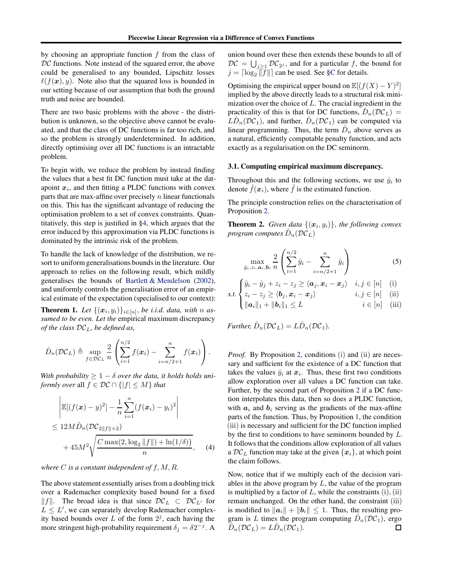<span id="page-4-0"></span>by choosing an appropriate function  $f$  from the class of  $DC$  functions. Note instead of the squared error, the above could be generalised to any bounded, Lipschitz losses  $\ell(f(\mathbf{x}), y)$ . Note also that the squared loss is bounded in our setting because of our assumption that both the ground truth and noise are bounded.

There are two basic problems with the above - the distribution is unknown, so the objective above cannot be evaluated, and that the class of DC functions is far too rich, and so the problem is strongly underdetermined. In addition, directly optimising over all DC functions is an intractable problem.

To begin with, we reduce the problem by instead finding the values that a best fit DC function must take at the datapoint  $x_i$ , and then fitting a PLDC functions with convex parts that are max-affine over precisely  $n$  linear functionals on this. This has the significant advantage of reducing the optimisation problem to a set of convex constraints. Quantitatively, this step is justified in [§4,](#page-5-0) which argues that the error induced by this approximation via PLDC functions is dominated by the intrinsic risk of the problem.

To handle the lack of knowledge of the distribution, we resort to uniform generalisations bounds in the literature. Our approach to relies on the following result, which mildly generalises the bounds of [Bartlett & Mendelson](#page-9-0) [\(2002\)](#page-9-0), and uniformly controls the generalisation error of an empirical estimate of the expectation (specialised to our context):

**Theorem 1.** Let  $\{(\boldsymbol{x}_i, y_i)\}_{i \in [n]},$  be i.i.d. data, with n as*sumed to be even. Let the* empirical maximum discrepancy *of the class* DCL*, be defined as,*

$$
\hat{D}_n(\mathcal{DC}_L) \triangleq \sup_{f \in \mathcal{DC}_L} \frac{2}{n} \left( \sum_{i=1}^{n/2} f(\boldsymbol{x}_i) - \sum_{i=n/2+1}^{n} f(\boldsymbol{x}_i) \right).
$$

With probability  $\geq 1 - \delta$  over the data, it holds holds uni*formly over* all  $f \in \mathcal{DC} \cap \{|f| \leq M\}$  *that* 

$$
\begin{aligned}\n&\left|\mathbb{E}[(f(\boldsymbol{x})-y)^2] - \frac{1}{n} \sum_{i=1}^n (f(\boldsymbol{x}_i) - y_i)^2\right| \\
&\leq 12M \hat{D}_n (\mathcal{DC}_{2||f||+2}) \\
&\quad + 45M^2 \sqrt{\frac{C \max(2, \log_2 ||f||) + \ln(1/\delta))}{n}},\n\end{aligned} \tag{4}
$$

*where* C *is a constant independent of* f, M, R*.*

The above statement essentially arises from a doubling trick over a Rademacher complexity based bound for a fixed  $||f||$ . The broad idea is that since  $D\mathcal{C}_L$  ⊂  $D\mathcal{C}_{L'}$  for  $L \leq L'$ , we can separately develop Rademacher complexity based bounds over L of the form  $2<sup>j</sup>$ , each having the more stringent high-probability requirement  $\delta_j = \delta 2^{-j}$ . A

union bound over these then extends these bounds to all of  $DC = \bigcup_{j \geq 1} DC_{2^j}$ , and for a particular f, the bound for  $j = \lceil \log_2 \Vert f \Vert \rceil$  can be used. See [§C](#page-15-0) for details.

Optimising the empirical upper bound on  $\mathbb{E}[(f(X) - Y)^2]$ implied by the above directly leads to a structural risk minimization over the choice of L. The crucial ingredient in the practicality of this is that for DC functions,  $\hat{D}_n(\mathcal{DC}_L) =$  $\widehat{L} \widehat{D}_n(\mathcal{DC}_1)$ , and further,  $\widehat{D}_n(\mathcal{DC}_1)$  can be computed via linear programming. Thus, the term  $\hat{D}_n$  above serves as a natural, efficiently computable penalty function, and acts exactly as a regularisation on the DC seminorm.

### 3.1. Computing empirical maximum discrepancy.

Throughout this and the following sections, we use  $\hat{y}_i$  to denote  $\hat{f}(\boldsymbol{x}_i)$ , where  $\hat{f}$  is the estimated function.

The principle construction relies on the characterisation of Proposition [2.](#page-2-0)

**Theorem 2.** *Given data*  $\{(x_i, y_i)\}\$ *, the following convex program computes*  $\hat{D}_n(\mathcal{DC}_L)$ 

$$
\max_{\hat{y}_i, z_i, \mathbf{a}_i, \mathbf{b}_i} \frac{2}{n} \left( \sum_{i=1}^{n/2} \hat{y}_i - \sum_{i=n/2+1}^{n} \hat{y}_i \right) \tag{5}
$$

$$
\int \hat{y}_i - \hat{y}_j + z_i - z_j \ge \langle \mathbf{a}_j, \mathbf{x}_i - \mathbf{x}_j \rangle \quad i, j \in [n] \quad (i)
$$

s.t. 
$$
\begin{cases} z_i - z_j \ge \langle b_j, x_i - x_j \rangle & i, j \in [n] \\ ||a_i||_1 + ||b_i||_1 \le L & i \in [n] \end{cases}
$$
 (ii)

*Further,*  $\hat{D}_n(\mathcal{DC}_L) = L\hat{D}_n(\mathcal{DC}_1)$ *.* 

*Proof.* By Proposition [2,](#page-2-0) conditions (i) and (ii) are necessary and sufficient for the existence of a DC function that takes the values  $\hat{y}_i$  at  $x_i$ . Thus, these first two conditions allow exploration over all values a DC function can take. Further, by the second part of Proposition [2](#page-2-0) if a DC function interpolates this data, then so does a PLDC function, with  $a_i$  and  $b_i$  serving as the gradients of the max-affine parts of the function. Thus, by Proposition [1,](#page-2-0) the condition (iii) is necessary and sufficient for the DC function implied by the first to conditions to have seminorm bounded by L. It follows that the conditions allow exploration of all values a  $DC_L$  function may take at the given  $\{x_i\}$ , at which point the claim follows.

Now, notice that if we multiply each of the decision variables in the above program by  $L$ , the value of the program is multiplied by a factor of  $L$ , while the constraints  $(i)$ ,  $(ii)$ remain unchanged. On the other hand, the constraint (iii) is modified to  $||a_i|| + ||b_i|| \leq 1$ . Thus, the resulting program is L times the program computing  $\hat{D}_n(\mathcal{DC}_1)$ , ergo  $\hat{D}_n(\mathcal{DC}_L) = L\hat{D}_n(\mathcal{DC}_1).$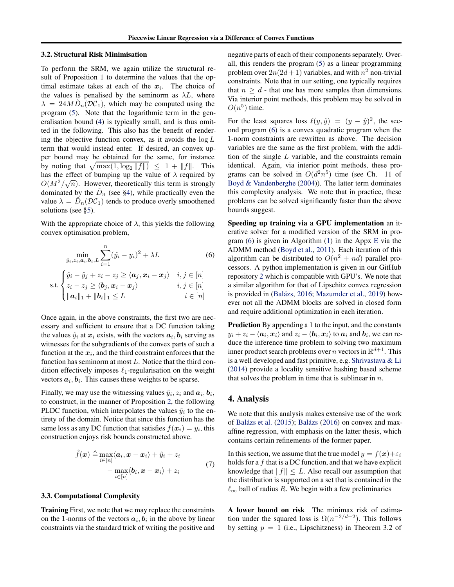#### <span id="page-5-0"></span>3.2. Structural Risk Minimisation

To perform the SRM, we again utilize the structural result of Proposition 1 to determine the values that the optimal estimate takes at each of the  $x_i$ . The choice of the values is penalised by the seminorm as  $\lambda L$ , where  $\lambda = 24M \hat{D}_n(DC_1)$ , which may be computed using the program [\(5\)](#page-4-0). Note that the logarithmic term in the generalisation bound [\(4\)](#page-4-0) is typically small, and is thus omitted in the following. This also has the benefit of rendering the objective function convex, as it avoids the  $\log L$ term that would instead enter. If desired, an convex upper bound may be obtained for the same, for instance by noting that  $\sqrt{\max(1, \log_2 ||f||)} \leq 1 + ||f||$ . This has the effect of bumping up the value of  $\lambda$  required by  $O(M^2/\sqrt{n})$ . However, theoretically this term is strongly dominated by the  $\hat{D}_n$  (see §4), while practically even the value  $\lambda = \hat{D}_n(\mathcal{DC}_1)$  tends to produce overly smoothened solutions (see [§5\)](#page-7-0).

With the appropriate choice of  $\lambda$ , this yields the following convex optimisation problem,

$$
\min_{\hat{y}_i, z_i, \mathbf{a}_i, \mathbf{b}_i, L} \sum_{i=1}^n (\hat{y}_i - y_i)^2 + \lambda L \tag{6}
$$

$$
\text{s.t.} \begin{cases} \hat{y}_i - \hat{y}_j + z_i - z_j \ge \langle \boldsymbol{a}_j, \boldsymbol{x}_i - \boldsymbol{x}_j \rangle & i, j \in [n] \\ z_i - z_j \ge \langle \boldsymbol{b}_j, \boldsymbol{x}_i - \boldsymbol{x}_j \rangle & i, j \in [n] \\ \| \boldsymbol{a}_i \|_1 + \| \boldsymbol{b}_i \|_1 \le L & i \in [n] \end{cases}
$$

Once again, in the above constraints, the first two are necessary and sufficient to ensure that a DC function taking the values  $\hat{y}_i$  at  $x_i$  exists, with the vectors  $a_i, b_i$  serving as witnesses for the subgradients of the convex parts of such a function at the  $x_i$ , and the third constraint enforces that the function has seminorm at most L. Notice that the third condition effectively imposes  $\ell_1$ -regularisation on the weight vectors  $a_i, b_i$ . This causes these weights to be sparse.

Finally, we may use the witnessing values  $\hat{y}_i, z_i$  and  $a_i, b_i$ , to construct, in the manner of Proposition [2,](#page-2-0) the following PLDC function, which interpolates the values  $\hat{y}_i$  to the entirety of the domain. Notice that since this function has the same loss as any DC function that satisfies  $f(x_i) = y_i$ , this construction enjoys risk bounds constructed above.

$$
\hat{f}(\boldsymbol{x}) \triangleq \max_{i \in [n]} \langle \boldsymbol{a}_i, \boldsymbol{x} - \boldsymbol{x}_i \rangle + \hat{y}_i + z_i
$$
\n
$$
- \max_{i \in [n]} \langle \boldsymbol{b}_i, \boldsymbol{x} - \boldsymbol{x}_i \rangle + z_i
$$
\n(7)

#### 3.3. Computational Complexity

Training First, we note that we may replace the constraints on the 1-norms of the vectors  $a_i, b_i$  in the above by linear constraints via the standard trick of writing the positive and negative parts of each of their components separately. Overall, this renders the program [\(5\)](#page-4-0) as a linear programming problem over  $2n(2d+1)$  variables, and with  $n^2$  non-trivial constraints. Note that in our setting, one typically requires that  $n \geq d$  - that one has more samples than dimensions. Via interior point methods, this problem may be solved in  $O(n^5)$  time.

For the least squares loss  $\ell(y, \hat{y}) = (y - \hat{y})^2$ , the second program (6) is a convex quadratic program when the 1-norm constraints are rewritten as above. The decision variables are the same as the first problem, with the addition of the single  $L$  variable, and the constraints remain identical. Again, via interior point methods, these programs can be solved in  $O(d^2n^5)$  time (see Ch. 11 of [Boyd & Vandenberghe](#page-9-0) [\(2004\)](#page-9-0)). The latter term dominates this complexity analysis. We note that in practice, these problems can be solved significantly faster than the above bounds suggest.

Speeding up training via a GPU implementation an iterative solver for a modified version of the SRM in program (6) is given in Algorithm [\(1\)](#page-17-0) in the Appx [E](#page-17-0) via the ADMM method [\(Boyd et al.,](#page-9-0) [2011\)](#page-9-0). Each iteration of this algorithm can be distributed to  $O(n^2 + nd)$  parallel processors. A python implementation is given in our GitHub repository [2](#page-7-0) which is compatible with GPU's. We note that a similar algorithm for that of Lipschitz convex regression is provided in (Balázs, [2016;](#page-9-0) [Mazumder et al.,](#page-9-0) [2019\)](#page-9-0) however not all the ADMM blocks are solved in closed form and require additional optimization in each iteration.

Prediction By appending a 1 to the input, and the constants  $y_i + z_i - \langle a_i, x_i \rangle$  and  $z_i - \langle b_i, x_i \rangle$  to  $a_i$  and  $b_i$ , we can reduce the inference time problem to solving two maximum inner product search problems over *n* vectors in  $\mathbb{R}^{d+1}$ . This is a well developed and fast primitive, e.g. [Shrivastava & Li](#page-10-0) [\(2014\)](#page-10-0) provide a locality sensitive hashing based scheme that solves the problem in time that is sublinear in  $n$ .

## 4. Analysis

We note that this analysis makes extensive use of the work of Balázs et al. [\(2015\)](#page-9-0); Balázs [\(2016](#page-9-0)) on convex and maxaffine regression, with emphasis on the latter thesis, which contains certain refinements of the former paper.

In this section, we assume that the true model  $y = f(x)+\varepsilon_i$ holds for a  $f$  that is a DC function, and that we have explicit knowledge that  $||f|| \leq L$ . Also recall our assumption that the distribution is supported on a set that is contained in the  $\ell_{\infty}$  ball of radius R. We begin with a few preliminaries

A lower bound on risk The minimax risk of estimation under the squared loss is  $\Omega(n^{-2/d+2})$ . This follows by setting  $p = 1$  (i.e., Lipschitzness) in Theorem 3.2 of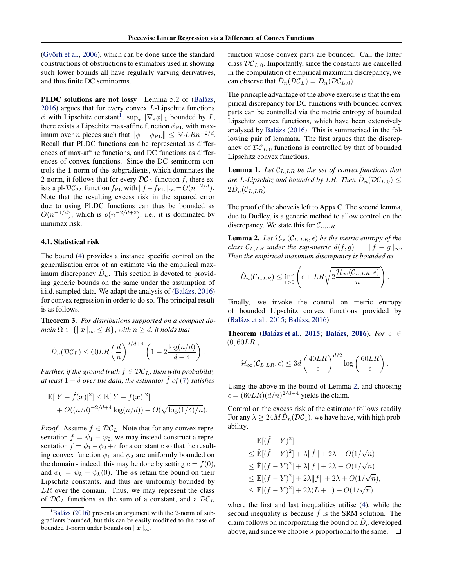<span id="page-6-0"></span>(Györfi et al.,  $2006$ ), which can be done since the standard constructions of obstructions to estimators used in showing such lower bounds all have regularly varying derivatives, and thus finite DC seminorms.

PLDC solutions are not lossy Lemma 5.2 of (Balázs, [2016\)](#page-9-0) argues that for every convex L-Lipschitz functions  $\phi$  with Lipschitz constant<sup>1</sup>,  $\sup_x \|\nabla_* \phi\|_1$  bounded by L, there exists a Lipschitz max-affine function  $\phi_{\rm PL}$  with maximum over *n* pieces such that  $\|\phi - \phi_{\text{PL}}\| \leq 36LRn^{-2/d}$ . Recall that PLDC functions can be represented as differences of max-affine functions, and DC functions as differences of convex functions. Since the DC seminorm controls the 1-norm of the subgradients, which dominates the 2-norm, it follows that for every  $\mathcal{DC}_L$  function f, there exists a pl- $DC_{2L}$  function  $f_{\rm PL}$  with  $||f - f_{\rm PL}||_{\infty} = O(n^{-2/d}).$ Note that the resulting excess risk in the squared error due to using PLDC functions can thus be bounded as  $O(n^{-4/d})$ , which is  $o(n^{-2/d+2})$ , i.e., it is dominated by minimax risk.

#### 4.1. Statistical risk

The bound [\(4\)](#page-4-0) provides a instance specific control on the generalisation error of an estimate via the empirical maximum discrepancy  $\hat{D}_n$ . This section is devoted to providing generic bounds on the same under the assumption of i.i.d. sampled data. We adapt the analysis of (Balázs, [2016\)](#page-9-0) for convex regression in order to do so. The principal result is as follows.

Theorem 3. *For distributions supported on a compact domain*  $\Omega \subset \{\Vert \mathbf{x} \Vert_{\infty} \leq R\}$ , *with*  $n \geq d$ , *it holds that* 

$$
\hat{D}_n(\mathcal{DC}_L) \le 60LR \left(\frac{d}{n}\right)^{2/d+4} \left(1 + 2\frac{\log(n/d)}{d+4}\right)
$$

.

*Further, if the ground truth*  $f \in \mathcal{DC}_L$ *, then with probability at least*  $1 - \delta$  *over the data, the estimator*  $\hat{f}$  *of* [\(7\)](#page-5-0) *satisfies* 

$$
\mathbb{E}[|Y - \hat{f}(\boldsymbol{x})|^2] \leq \mathbb{E}[|Y - f(\boldsymbol{x})|^2] + O((n/d)^{-2/d+4} \log(n/d)) + O(\sqrt{\log(1/\delta)/n}).
$$

*Proof.* Assume  $f \in \mathcal{DC}_L$ . Note that for any convex representation  $f = \psi_1 - \psi_2$ , we may instead construct a representation  $f = \phi_1 - \phi_2 + c$  for a constant c so that the resulting convex function  $\phi_1$  and  $\phi_2$  are uniformly bounded on the domain - indeed, this may be done by setting  $c = f(0)$ , and  $\phi_k = \psi_k - \psi_k(0)$ . The  $\phi$ s retain the bound on their Lipschitz constants, and thus are uniformly bounded by  $LR$  over the domain. Thus, we may represent the class of  $DC_L$  functions as the sum of a constant, and a  $DC_L$ 

function whose convex parts are bounded. Call the latter class  $DC_{L,0}$ . Importantly, since the constants are cancelled in the computation of empirical maximum discrepancy, we can observe that  $\hat{D}_n(\mathcal{DC}_L) = \hat{D}_n(\mathcal{DC}_{L,0}).$ 

The principle advantage of the above exercise is that the empirical discrepancy for DC functions with bounded convex parts can be controlled via the metric entropy of bounded Lipschitz convex functions, which have been extensively analysed by Balázs [\(2016](#page-9-0)). This is summarised in the following pair of lemmata. The first argues that the discrepancy of  $DC_{L,0}$  functions is controlled by that of bounded Lipschitz convex functions.

**Lemma 1.** Let  $C_{L,LR}$  be the set of convex functions that *are* L-Lipschitz and bounded by LR. Then  $\hat{D}_n(\mathcal{DC}_{L,0}) \leq$  $2\hat{D}_n(\mathcal{C}_{L,LR}).$ 

The proof of the above is left to Appx C. The second lemma, due to Dudley, is a generic method to allow control on the discrepancy. We state this for  $C_{L,LR}$ 

**Lemma 2.** *Let*  $\mathcal{H}_{\infty}(\mathcal{C}_{L,LR}, \epsilon)$  *be the metric entropy of the class*  $\mathcal{C}_{L,LR}$  *under the sup-metric*  $d(f,g) = ||f - g||_{\infty}$ *. Then the empirical maximum discrepancy is bounded as*

$$
\hat{D}_n(\mathcal{C}_{L,LR}) \le \inf_{\epsilon > 0} \left( \epsilon + LR\sqrt{2\frac{\mathcal{H}_{\infty}(\mathcal{C}_{L,LR}, \epsilon)}{n}} \right)
$$

.

Finally, we invoke the control on metric entropy of bounded Lipschitz convex functions provided by (Balázs et al., [2015;](#page-9-0) Balázs, [2016\)](#page-9-0)

Theorem (Balázs et al., [2015;](#page-9-0) Balázs, [2016\)](#page-9-0). *For*  $\epsilon \in$  $(0, 60LR],$ 

$$
\mathcal{H}_{\infty}(\mathcal{C}_{L,LR}, \epsilon) \leq 3d \left(\frac{40LR}{\epsilon}\right)^{d/2} \log \left(\frac{60LR}{\epsilon}\right).
$$

Using the above in the bound of Lemma 2, and choosing  $\epsilon = (60LR)(d/n)^{2/d+4}$  yields the claim.

Control on the excess risk of the estimator follows readily. For any  $\lambda \geq 24M \hat{D}_n(\mathcal{DC}_1)$ , we have have, with high probability,

$$
\mathbb{E}[(\hat{f} - Y)^2]
$$
\n
$$
\leq \mathbb{E}[(\hat{f} - Y)^2] + \lambda \|\hat{f}\| + 2\lambda + O(1/\sqrt{n})
$$
\n
$$
\leq \mathbb{E}[(f - Y)^2] + \lambda \|f\| + 2\lambda + O(1/\sqrt{n})
$$
\n
$$
\leq \mathbb{E}[(f - Y)^2] + 2\lambda \|f\| + 2\lambda + O(1/\sqrt{n}),
$$
\n
$$
\leq \mathbb{E}[(f - Y)^2] + 2\lambda(L + 1) + O(1/\sqrt{n})
$$

where the first and last inequalities utilise [\(4\)](#page-4-0), while the second inequality is because  $\hat{f}$  is the SRM solution. The claim follows on incorporating the bound on  $\hat{D}_n$  developed above, and since we choose  $\lambda$  proportional to the same.  $\Box$ 

 $1<sup>1</sup>Balázs$  [\(2016](#page-9-0)) presents an argument with the 2-norm of subgradients bounded, but this can be easily modified to the case of bounded 1-norm under bounds on  $||x||_{\infty}$ .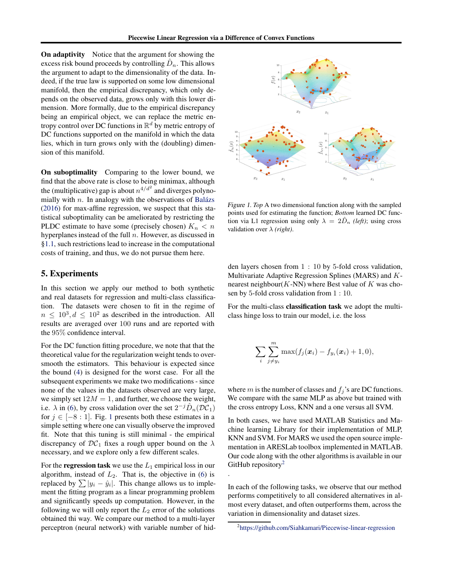<span id="page-7-0"></span>On adaptivity Notice that the argument for showing the excess risk bound proceeds by controlling  $\hat{D}_n$ . This allows the argument to adapt to the dimensionality of the data. Indeed, if the true law is supported on some low dimensional manifold, then the empirical discrepancy, which only depends on the observed data, grows only with this lower dimension. More formally, due to the empirical discrepancy being an empirical object, we can replace the metric entropy control over DC functions in  $\mathbb{R}^d$  by metric entropy of DC functions supported on the manifold in which the data lies, which in turn grows only with the (doubling) dimension of this manifold.

On suboptimality Comparing to the lower bound, we find that the above rate is close to being minimax, although the (multiplicative) gap is about  $n^{4/d^2}$  and diverges polynomially with  $n$ . In analogy with the observations of Balázs [\(2016\)](#page-9-0) for max-affine regression, we suspect that this statistical suboptimality can be ameliorated by restricting the PLDC estimate to have some (precisely chosen)  $K_n < n$ hyperplanes instead of the full  $n$ . However, as discussed in [§1.1,](#page-1-0) such restrictions lead to increase in the computational costs of training, and thus, we do not pursue them here.

## 5. Experiments

In this section we apply our method to both synthetic and real datasets for regression and multi-class classification. The datasets were chosen to fit in the regime of  $n \leq 10^3, d \leq 10^2$  as described in the introduction. All results are averaged over 100 runs and are reported with the 95% confidence interval.

For the DC function fitting procedure, we note that that the theoretical value for the regularization weight tends to oversmooth the estimators. This behaviour is expected since the bound [\(4\)](#page-4-0) is designed for the worst case. For all the subsequent experiments we make two modifications - since none of the values in the datasets observed are very large, we simply set  $12M = 1$ , and further, we choose the weight, i.e.  $\lambda$  in [\(6\)](#page-5-0), by cross validation over the set  $2^{-j}\hat{D}_n(\mathcal{DC}_1)$ for  $j \in [-8:1]$ . Fig. 1 presents both these estimates in a simple setting where one can visually observe the improved fit. Note that this tuning is still minimal - the empirical discrepancy of  $\mathcal{DC}_1$  fixes a rough upper bound on the  $\lambda$ necessary, and we explore only a few different scales.

For the **regression task** we use the  $L_1$  empirical loss in our algorithm, instead of  $L_2$ . That is, the objective in [\(6\)](#page-5-0) is replaced by  $\sum |y_i - \hat{y}_i|$ . This change allows us to implement the fitting program as a linear programming problem and significantly speeds up computation. However, in the following we will only report the  $L_2$  error of the solutions obtained thi way. We compare our method to a multi-layer perceptron (neural network) with variable number of hid-



Figure 1. *Top* A two dimensional function along with the sampled points used for estimating the function; *Bottom* learned DC function via L1 regression using only  $\lambda = 2\hat{D}_n$  *(left)*; using cross validation over λ *(right)*.

den layers chosen from 1 : 10 by 5-fold cross validation, Multivariate Adaptive Regression Splines (MARS) and Knearest neighbour( $K$ -NN) where Best value of  $K$  was chosen by 5-fold cross validation from 1 : 10.

For the multi-class classification task we adopt the multiclass hinge loss to train our model, i.e. the loss

$$
\sum_{i}\sum_{j\neq y_i}^m \max(f_j(\boldsymbol{x}_i)-f_{y_i}(\boldsymbol{x}_i)+1,0),
$$

where m is the number of classes and  $f_j$ 's are DC functions. We compare with the same MLP as above but trained with the cross entropy Loss, KNN and a one versus all SVM.

In both cases, we have used MATLAB Statistics and Machine learning Library for their implementation of MLP, KNN and SVM. For MARS we used the open source implementation in ARESLab toolbox implemented in MATLAB. Our code along with the other algorithms is available in our GitHub repository<sup>2</sup>

In each of the following tasks, we observe that our method performs competitively to all considered alternatives in almost every dataset, and often outperforms them, across the variation in dimensionality and dataset sizes.

.

<sup>2</sup> <https://github.com/Siahkamari/Piecewise-linear-regression>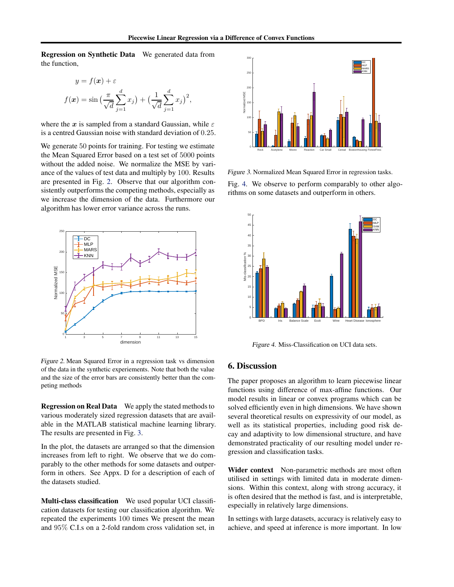Regression on Synthetic Data We generated data from the function,

$$
y = f(\mathbf{x}) + \varepsilon
$$
  

$$
f(\mathbf{x}) = \sin\left(\frac{\pi}{\sqrt{d}} \sum_{j=1}^{d} x_j\right) + \left(\frac{1}{\sqrt{d}} \sum_{j=1}^{d} x_j\right)^2,
$$

where the x is sampled from a standard Gaussian, while  $\varepsilon$ is a centred Gaussian noise with standard deviation of 0.25.

We generate 50 points for training. For testing we estimate the Mean Squared Error based on a test set of 5000 points without the added noise. We normalize the MSE by variance of the values of test data and multiply by 100. Results are presented in Fig. 2. Observe that our algorithm consistently outperforms the competing methods, especially as we increase the dimension of the data. Furthermore our algorithm has lower error variance across the runs.



Figure 2. Mean Squared Error in a regression task vs dimension of the data in the synthetic experiements. Note that both the value and the size of the error bars are consistently better than the competing methods

Regression on Real Data We apply the stated methods to various moderately sized regression datasets that are available in the MATLAB statistical machine learning library. The results are presented in Fig. 3.

In the plot, the datasets are arranged so that the dimension increases from left to right. We observe that we do comparably to the other methods for some datasets and outperform in others. See Appx. D for a description of each of the datasets studied.

Multi-class classification We used popular UCI classification datasets for testing our classification algorithm. We repeated the experiments 100 times We present the mean and 95% C.I.s on a 2-fold random cross validation set, in



Figure 3. Normalized Mean Squared Error in regression tasks. Fig. 4. We observe to perform comparably to other algorithms on some datasets and outperform in others.



Figure 4. Miss-Classification on UCI data sets.

## 6. Discussion

The paper proposes an algorithm to learn piecewise linear functions using difference of max-affine functions. Our model results in linear or convex programs which can be solved efficiently even in high dimensions. We have shown several theoretical results on expressivity of our model, as well as its statistical properties, including good risk decay and adaptivity to low dimensional structure, and have demonstrated practicality of our resulting model under regression and classification tasks.

Wider context Non-parametric methods are most often utilised in settings with limited data in moderate dimensions. Within this context, along with strong accuracy, it is often desired that the method is fast, and is interpretable, especially in relatively large dimensions.

In settings with large datasets, accuracy is relatively easy to achieve, and speed at inference is more important. In low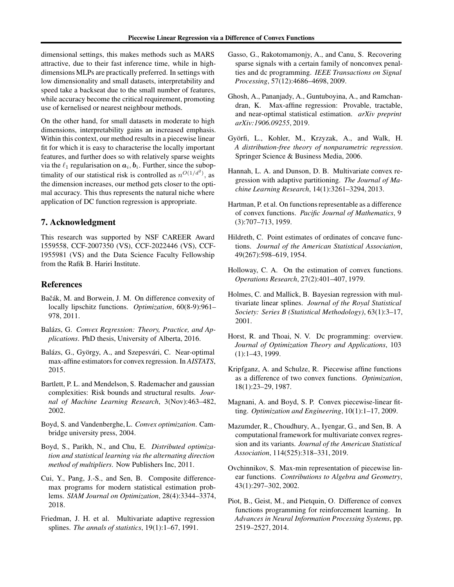<span id="page-9-0"></span>dimensional settings, this makes methods such as MARS attractive, due to their fast inference time, while in highdimensions MLPs are practically preferred. In settings with low dimensionality and small datasets, interpretability and speed take a backseat due to the small number of features, while accuracy become the critical requirement, promoting use of kernelised or nearest neighbour methods.

On the other hand, for small datasets in moderate to high dimensions, interpretability gains an increased emphasis. Within this context, our method results in a piecewise linear fit for which it is easy to characterise the locally important features, and further does so with relatively sparse weights via the  $\ell_1$  regularisation on  $a_i, b_i$ . Further, since the suboptimality of our statistical risk is controlled as  $n^{O(1/d^2)}$ , as the dimension increases, our method gets closer to the optimal accuracy. This thus represents the natural niche where application of DC function regression is appropriate.

## 7. Acknowledgment

This research was supported by NSF CAREER Award 1559558, CCF-2007350 (VS), CCF-2022446 (VS), CCF-1955981 (VS) and the Data Science Faculty Fellowship from the Rafik B. Hariri Institute.

## References

- Bačák, M. and Borwein, J. M. On difference convexity of locally lipschitz functions. *Optimization*, 60(8-9):961– 978, 2011.
- Balázs, G. Convex Regression: Theory, Practice, and Ap*plications*. PhD thesis, University of Alberta, 2016.
- Balázs, G., György, A., and Szepesvári, C. Near-optimal max-affine estimators for convex regression. In *AISTATS*, 2015.
- Bartlett, P. L. and Mendelson, S. Rademacher and gaussian complexities: Risk bounds and structural results. *Journal of Machine Learning Research*, 3(Nov):463–482, 2002.
- Boyd, S. and Vandenberghe, L. *Convex optimization*. Cambridge university press, 2004.
- Boyd, S., Parikh, N., and Chu, E. *Distributed optimization and statistical learning via the alternating direction method of multipliers*. Now Publishers Inc, 2011.
- Cui, Y., Pang, J.-S., and Sen, B. Composite differencemax programs for modern statistical estimation problems. *SIAM Journal on Optimization*, 28(4):3344–3374, 2018.
- Friedman, J. H. et al. Multivariate adaptive regression splines. *The annals of statistics*, 19(1):1–67, 1991.
- Gasso, G., Rakotomamonjy, A., and Canu, S. Recovering sparse signals with a certain family of nonconvex penalties and dc programming. *IEEE Transactions on Signal Processing*, 57(12):4686–4698, 2009.
- Ghosh, A., Pananjady, A., Guntuboyina, A., and Ramchandran, K. Max-affine regression: Provable, tractable, and near-optimal statistical estimation. *arXiv preprint arXiv:1906.09255*, 2019.
- Györfi, L., Kohler, M., Krzyzak, A., and Walk, H. *A distribution-free theory of nonparametric regression*. Springer Science & Business Media, 2006.
- Hannah, L. A. and Dunson, D. B. Multivariate convex regression with adaptive partitioning. *The Journal of Machine Learning Research*, 14(1):3261–3294, 2013.
- Hartman, P. et al. On functions representable as a difference of convex functions. *Pacific Journal of Mathematics*, 9 (3):707–713, 1959.
- Hildreth, C. Point estimates of ordinates of concave functions. *Journal of the American Statistical Association*, 49(267):598–619, 1954.
- Holloway, C. A. On the estimation of convex functions. *Operations Research*, 27(2):401–407, 1979.
- Holmes, C. and Mallick, B. Bayesian regression with multivariate linear splines. *Journal of the Royal Statistical Society: Series B (Statistical Methodology)*, 63(1):3–17, 2001.
- Horst, R. and Thoai, N. V. Dc programming: overview. *Journal of Optimization Theory and Applications*, 103 (1):1–43, 1999.
- Kripfganz, A. and Schulze, R. Piecewise affine functions as a difference of two convex functions. *Optimization*, 18(1):23–29, 1987.
- Magnani, A. and Boyd, S. P. Convex piecewise-linear fitting. *Optimization and Engineering*, 10(1):1–17, 2009.
- Mazumder, R., Choudhury, A., Iyengar, G., and Sen, B. A computational framework for multivariate convex regression and its variants. *Journal of the American Statistical Association*, 114(525):318–331, 2019.
- Ovchinnikov, S. Max-min representation of piecewise linear functions. *Contributions to Algebra and Geometry*, 43(1):297–302, 2002.
- Piot, B., Geist, M., and Pietquin, O. Difference of convex functions programming for reinforcement learning. In *Advances in Neural Information Processing Systems*, pp. 2519–2527, 2014.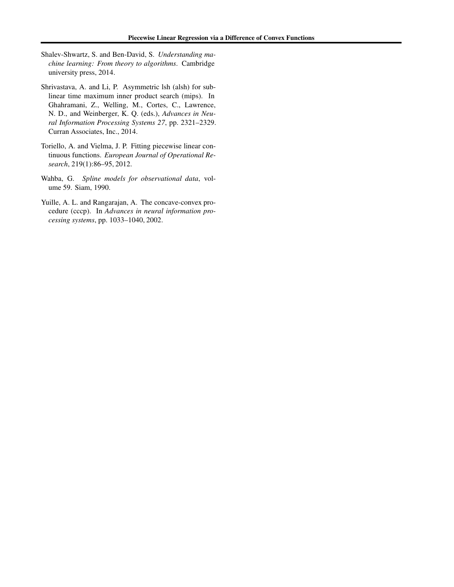- <span id="page-10-0"></span>Shalev-Shwartz, S. and Ben-David, S. *Understanding machine learning: From theory to algorithms*. Cambridge university press, 2014.
- Shrivastava, A. and Li, P. Asymmetric lsh (alsh) for sublinear time maximum inner product search (mips). In Ghahramani, Z., Welling, M., Cortes, C., Lawrence, N. D., and Weinberger, K. Q. (eds.), *Advances in Neural Information Processing Systems 27*, pp. 2321–2329. Curran Associates, Inc., 2014.
- Toriello, A. and Vielma, J. P. Fitting piecewise linear continuous functions. *European Journal of Operational Research*, 219(1):86–95, 2012.
- Wahba, G. *Spline models for observational data*, volume 59. Siam, 1990.
- Yuille, A. L. and Rangarajan, A. The concave-convex procedure (cccp). In *Advances in neural information processing systems*, pp. 1033–1040, 2002.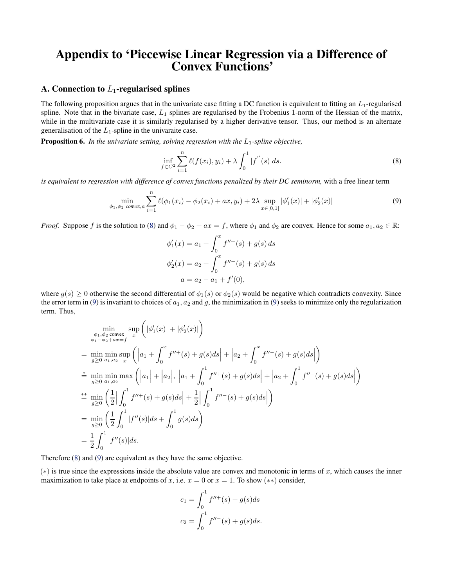# <span id="page-11-0"></span>Appendix to 'Piecewise Linear Regression via a Difference of Convex Functions'

## A. Connection to  $L_1$ -regularised splines

The following proposition argues that in the univariate case fitting a DC function is equivalent to fitting an  $L_1$ -regularised spline. Note that in the bivariate case,  $L_1$  splines are regularised by the Frobenius 1-norm of the Hessian of the matrix, while in the multivariate case it is similarly regularised by a higher derivative tensor. Thus, our method is an alternate generalisation of the  $L_1$ -spline in the univaraite case.

**Proposition 6.** In the univariate setting, solving regression with the  $L_1$ -spline objective,

$$
\inf_{f \in C^2} \sum_{i=1}^n \ell(f(x_i), y_i) + \lambda \int_0^1 |f''(s)| ds.
$$
\n(8)

*is equivalent to regression with difference of convex functions penalized by their DC seminorm,* with a free linear term

$$
\min_{\phi_1, \phi_2 \text{ convex}, a} \sum_{i=1}^n \ell(\phi_1(x_i) - \phi_2(x_i) + ax, y_i) + 2\lambda \sup_{x \in [0,1]} |\phi_1'(x)| + |\phi_2'(x)| \tag{9}
$$

*Proof.* Suppose f is the solution to (8) and  $\phi_1 - \phi_2 + ax = f$ , where  $\phi_1$  and  $\phi_2$  are convex. Hence for some  $a_1, a_2 \in \mathbb{R}$ :

$$
\phi'_1(x) = a_1 + \int_0^x f''^+(s) + g(s) ds
$$
  

$$
\phi'_2(x) = a_2 + \int_0^x f''^-(s) + g(s) ds
$$
  

$$
a = a_2 - a_1 + f'(0),
$$

where  $g(s) \ge 0$  otherwise the second differential of  $\phi_1(s)$  or  $\phi_2(s)$  would be negative which contradicts convexity. Since the error term in (9) is invariant to choices of  $a_1, a_2$  and g, the minimization in (9) seeks to minimize only the regularization term. Thus,

$$
\min_{\substack{\phi_1, \phi_2 \text{ convex} \\ \phi_1 - \phi_2 + ax = f}} \sup_x \left( |\phi_1'(x)| + |\phi_2'(x)| \right)
$$
\n  
\n= 
$$
\min_{g \ge 0} \min_{a_1, a_2} \sup_x \left( |a_1 + \int_0^x f''^+(s) + g(s)ds | + |a_2 + \int_0^x f''^-(s) + g(s)ds | \right)
$$
\n  
\n
$$
\stackrel{\ast}{=} \min_{g \ge 0} \min_{a_1, a_2} \max_{a_2} \left( |a_1| + |a_2|, |a_1 + \int_0^1 f''^+(s) + g(s)ds | + |a_2 + \int_0^1 f''^-(s) + g(s)ds | \right)
$$
\n  
\n
$$
\stackrel{\ast}{=} \min_{g \ge 0} \left( \frac{1}{2} \left| \int_0^1 f''^+(s) + g(s)ds \right| + \frac{1}{2} \left| \int_0^1 f''^-(s) + g(s)ds \right| \right)
$$
\n  
\n= 
$$
\min_{g \ge 0} \left( \frac{1}{2} \int_0^1 |f''(s)|ds + \int_0^1 g(s)ds \right)
$$
\n  
\n= 
$$
\frac{1}{2} \int_0^1 |f''(s)|ds.
$$

Therefore (8) and (9) are equivalent as they have the same objective.

 $(*)$  is true since the expressions inside the absolute value are convex and monotonic in terms of x, which causes the inner maximization to take place at endpoints of x, i.e.  $x = 0$  or  $x = 1$ . To show  $(**)$  consider,

$$
c_1 = \int_0^1 f''^+(s) + g(s)ds
$$
  

$$
c_2 = \int_0^1 f''^-(s) + g(s)ds.
$$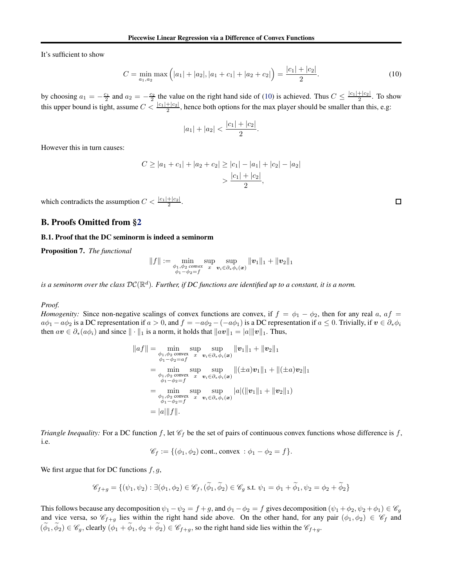<span id="page-12-0"></span>It's sufficient to show

$$
C = \min_{a_1, a_2} \max\left(|a_1| + |a_2|, |a_1 + c_1| + |a_2 + c_2|\right) = \frac{|c_1| + |c_2|}{2}.
$$
\n(10)

by choosing  $a_1 = -\frac{c_1}{2}$  and  $a_2 = -\frac{c_2}{2}$  the value on the right hand side of (10) is achieved. Thus  $C \leq \frac{|c_1| + |c_2|}{2}$  $\frac{+|c_2|}{2}$ . To show this upper bound is tight, assume  $C < \frac{|c_1|+|c_2|}{2}$ , hence both options for the max player should be smaller than this, e.g:

$$
|a_1| + |a_2| < \frac{|c_1| + |c_2|}{2}.
$$

However this in turn causes:

$$
C \ge |a_1 + c_1| + |a_2 + c_2| \ge |c_1| - |a_1| + |c_2| - |a_2|
$$
  
> 
$$
\frac{|c_1| + |c_2|}{2},
$$

which contradicts the assumption  $C < \frac{|c_1| + |c_2|}{2}$ .

## B. Proofs Omitted from [§2](#page-2-0)

#### B.1. Proof that the DC seminorm is indeed a seminorm

Proposition 7. *The functional*

$$
\|f\|:=\min\limits_{\substack{\phi_1,\phi_2\text{ convex}\\ \phi_1-\phi_2=f}}\sup\limits_{x}\sup\limits_{\bm v_i\in\partial_*\phi_i(\bm x)}\|\bm v_1\|_1+\|\bm v_2\|_1
$$

is a seminorm over the class  $\mathcal{DC}(\mathbb{R}^d)$ . Further, if DC functions are identified up to a constant, it is a norm.

#### *Proof.*

*Homogenity:* Since non-negative scalings of convex functions are convex, if  $f = \phi_1 - \phi_2$ , then for any real a,  $af =$  $a\phi_1 - a\phi_2$  is a DC representation if  $a > 0$ , and  $f = -a\phi_2 - (-a\phi_1)$  is a DC representation if  $a \le 0$ . Trivially, if  $v \in \partial_*\phi_i$ then  $av \in \partial_*(a\phi_i)$  and since  $\|\cdot\|_1$  is a norm, it holds that  $\|av\|_1 = |a|\|v\|_1$ . Thus,

$$
||af|| = \min_{\substack{\phi_1, \phi_2 \text{ convex} \\ \phi_1 - \phi_2 = af}} \sup_{\mathbf{v}_i \in \partial_* \phi_i(\mathbf{x})} ||\mathbf{v}_1||_1 + ||\mathbf{v}_2||_1
$$
  
\n
$$
= \min_{\substack{\phi_1, \phi_2 \text{ convex} \\ \phi_1 - \phi_2 = f}} \sup_{\mathbf{v}_i \in \partial_* \phi_i(\mathbf{x})} ||(\pm a)\mathbf{v}_1||_1 + ||(\pm a)\mathbf{v}_2||_1
$$
  
\n
$$
= \min_{\substack{\phi_1, \phi_2 \text{ convex} \\ \phi_1 - \phi_2 = f}} \sup_{\mathbf{v}_i \in \partial_* \phi_i(\mathbf{x})} |a|(||\mathbf{v}_1||_1 + ||\mathbf{v}_2||_1)
$$
  
\n
$$
= |a||f||.
$$

*Triangle Inequality:* For a DC function f, let  $\mathcal{C}_f$  be the set of pairs of continuous convex functions whose difference is f, i.e.

$$
\mathscr{C}_f := \{(\phi_1, \phi_2) \text{ cont., convex} : \phi_1 - \phi_2 = f\}.
$$

We first argue that for DC functions  $f, g$ ,

$$
\mathscr{C}_{f+g} = \{(\psi_1,\psi_2) : \exists (\phi_1,\phi_2) \in \mathscr{C}_f, (\widetilde{\phi}_1,\widetilde{\phi}_2) \in \mathscr{C}_g \text{ s.t. } \psi_1 = \phi_1 + \widetilde{\phi}_1, \psi_2 = \phi_2 + \widetilde{\phi}_2\}
$$

This follows because any decomposition  $\psi_1 - \psi_2 = f + g$ , and  $\phi_1 - \phi_2 = f$  gives decomposition  $(\psi_1 + \phi_2, \psi_2 + \phi_1) \in \mathscr{C}_g$ and vice versa, so  $\mathscr{C}_{f+g}$  lies within the right hand side above. On the other hand, for any pair  $(\phi_1, \phi_2) \in \mathscr{C}_f$  and  $(\widetilde{\phi}_1, \widetilde{\phi}_2) \in \mathscr{C}_g$ , clearly  $(\phi_1 + \widetilde{\phi}_1, \phi_2 + \widetilde{\phi}_2) \in \mathscr{C}_{f+g}$ , so the right hand side lies within the  $\mathscr{C}_{f+g}$ .

 $\Box$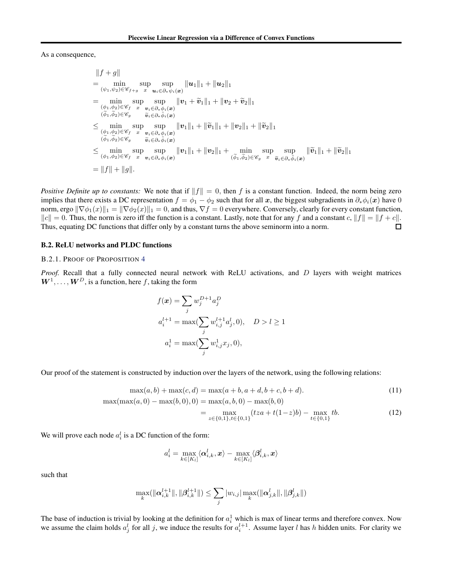#### <span id="page-13-0"></span>As a consequence,

$$
||f + g||
$$
  
\n
$$
= \min_{(\psi_1, \psi_2) \in \mathscr{C}_{f+g}} \sup_{x} \sup_{u_i \in \partial_x \psi_i(x)} ||u_1||_1 + ||u_2||_1
$$
  
\n
$$
= \min_{(\phi_1, \phi_2) \in \mathscr{C}_f} \sup_{x} \sup_{v_i \in \partial_x \phi_i(x)} ||v_1 + \widetilde{v}_1||_1 + ||v_2 + \widetilde{v}_2||_1
$$
  
\n
$$
\leq \min_{(\tilde{\phi}_1, \tilde{\phi}_2) \in \mathscr{C}_g} \sup_{\tilde{v}_i \in \partial_x \tilde{\phi}_i(x)} ||v_1||_1 + ||\widetilde{v}_1||_1 + ||v_2||_1 + ||\widetilde{v}_2||_1
$$
  
\n
$$
\leq \min_{(\tilde{\phi}_1, \tilde{\phi}_2) \in \mathscr{C}_g} \sup_{\tilde{v}_i \in \partial_x \tilde{\phi}_i(x)} ||v_1||_1 + ||\widetilde{v}_1||_1 + ||v_2||_1 + ||\widetilde{v}_2||_1
$$
  
\n
$$
\leq \min_{(\tilde{\phi}_1, \tilde{\phi}_2) \in \mathscr{C}_g} \sup_{\tilde{v}_i \in \partial_x \tilde{\phi}_i(x)} ||v_1||_1 + ||v_2||_1 + \min_{(\tilde{\phi}_1, \tilde{\phi}_2) \in \mathscr{C}_g} \sup_{x} \sup_{\tilde{v}_i \in \partial_x \tilde{\phi}_i(x)} ||\widetilde{v}_1||_1 + ||\widetilde{v}_2||_1
$$
  
\n
$$
= ||f|| + ||g||.
$$

*Positive Definite up to constants:* We note that if  $||f|| = 0$ , then f is a constant function. Indeed, the norm being zero implies that there exists a DC representation  $f = \phi_1 - \phi_2$  such that for all x, the biggest subgradients in  $\partial_* \phi_i(x)$  have 0 norm, ergo  $\|\nabla \phi_1(x)\|_1 = \|\nabla \phi_2(x)\|_1 = 0$ , and thus,  $\nabla f = 0$  everywhere. Conversely, clearly for every constant function,  $||c|| = 0$ . Thus, the norm is zero iff the function is a constant. Lastly, note that for any f and a constant c,  $||f|| = ||f + c||$ .<br>Thus, equating DC functions that differ only by a constant turns the above seminorm into a norm. Thus, equating DC functions that differ only by a constant turns the above seminorm into a norm.

#### B.2. ReLU networks and PLDC functions

#### B.2.1. PROOF OF PROPOSITION [4](#page-3-0)

*Proof.* Recall that a fully connected neural network with ReLU activations, and D layers with weight matrices  $W^1, \ldots, W^D$ , is a function, here f, taking the form

$$
f(\mathbf{x}) = \sum_{j} w_j^{D+1} a_j^D
$$
  
\n
$$
a_i^{l+1} = \max(\sum_j w_{i,j}^{l+1} a_j^l, 0), \quad D > l \ge 1
$$
  
\n
$$
a_i^1 = \max(\sum_j w_{i,j}^1 x_j, 0),
$$

Our proof of the statement is constructed by induction over the layers of the network, using the following relations:

$$
\max(a, b) + \max(c, d) = \max(a + b, a + d, b + c, b + d). \tag{11}
$$

$$
\max(\max(a, 0) - \max(b, 0), 0) = \max(a, b, 0) - \max(b, 0)
$$
  
= 
$$
\max_{z \in \{0, 1\}, t \in \{0, 1\}} (tza + t(1-z)b) - \max_{t \in \{0, 1\}} tb.
$$
 (12)

We will prove each node  $a_i^l$  is a DC function of the form:

$$
a_i^l = \max_{k \in [K_l]} \langle \boldsymbol{\alpha}_{i,k}^l, \boldsymbol{x}\rangle - \max_{k \in [K_l]} \langle \boldsymbol{\beta}_{i,k}^l, \boldsymbol{x}\rangle
$$

such that

$$
\max_k (\|\boldsymbol{\alpha}_{i,k}^{l+1}\|, \|\boldsymbol{\beta}_{i,k}^{l+1}\|) \leq \sum_j |w_{i,j}| \max_k (\|\boldsymbol{\alpha}_{j,k}^{l}\|, \|\boldsymbol{\beta}_{j,k}^{l}\|)
$$

The base of induction is trivial by looking at the definition for  $a_i^1$  which is max of linear terms and therefore convex. Now we assume the claim holds  $a_j^l$  for all j, we induce the results for  $a_i^{l+1}$ . Assume layer l has h hidden units. For clarity we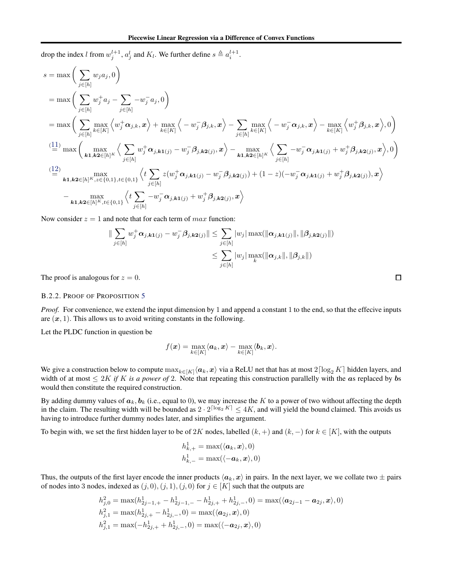drop the index l from  $w_j^{l+1}$ ,  $a_j^l$  and  $K_l$ . We further define  $s \triangleq a_i^{l+1}$ .

$$
s = \max \bigg(\sum_{j\in[h]} w_j a_j, 0 \bigg)
$$
  
\n
$$
= \max \bigg(\sum_{j\in[h]} w_j^+ a_j - \sum_{j\in[h]} -w_j^- a_j, 0 \bigg)
$$
  
\n
$$
= \max \bigg(\sum_{j\in[h]} \max_{k\in[K]} \left\langle w_j^+ \alpha_{j,k}, x \right\rangle + \max_{k\in[K]} \left\langle -w_j^- \beta_{j,k}, x \right\rangle - \sum_{j\in[h]} \max_{k\in[K]} \left\langle -w_j^- \alpha_{j,k}, x \right\rangle - \max_{k\in[K]} \left\langle w_j^+ \beta_{j,k}, x \right\rangle, 0 \bigg)
$$
  
\n
$$
\stackrel{(11)}{=} \max \bigg(\max_{k\mathbf{1}, k\mathbf{2}\in[h]^K} \left\langle \sum_{j\in[h]} w_j^+ \alpha_{j,k\mathbf{1}(j)} - w_j^- \beta_{j,k\mathbf{2}(j)}, x \right\rangle - \max_{k\mathbf{1}, k\mathbf{2}\in[h]^K} \left\langle \sum_{j\in[h]} -w_j^- \alpha_{j,k\mathbf{1}(j)} + w_j^+ \beta_{j,k\mathbf{2}(j)}, x \right\rangle, 0 \bigg)
$$
  
\n
$$
\stackrel{(12)}{=} \max_{k\mathbf{1}, k\mathbf{2}\in[h]^K, z\in\{0, 1\}, t\in\{0, 1\}} \left\langle t \sum_{j\in[h]} z(w_j^+ \alpha_{j,k\mathbf{1}(j)} - w_j^- \beta_{j,k\mathbf{2}(j)}) + (1-z)(-w_j^- \alpha_{j,k\mathbf{1}(j)} + w_j^+ \beta_{j,k\mathbf{2}(j)}), x \right\rangle
$$
  
\n
$$
- \max_{k\mathbf{1}, k\mathbf{2}\in[h]^K, t\in\{0, 1\}} \left\langle t \sum_{j\in[h]} -w_j^- \alpha_{j,k\mathbf{1}(j)} + w_j^+ \beta_{j,k\mathbf{2}(j)}, x \right\rangle
$$

Now consider  $z = 1$  and note that for each term of  $max$  function:

$$
\|\sum_{j\in[h]} w_j^+ \alpha_{j,k\mathbf{1}(j)} - w_j^- \beta_{j,k\mathbf{2}(j)}\| \leq \sum_{j\in[h]} |w_j| \max(||\alpha_{j,k\mathbf{1}(j)}||, ||\beta_{j,k\mathbf{2}(j)}||)
$$
  

$$
\leq \sum_{j\in[h]} |w_j| \max_{k} (||\alpha_{j,k}||, ||\beta_{j,k}||)
$$

The proof is analogous for  $z = 0$ .

### B.2.2. PROOF OF PROPOSITION [5](#page-3-0)

*Proof.* For convenience, we extend the input dimension by 1 and append a constant 1 to the end, so that the effecive inputs are  $(x, 1)$ . This allows us to avoid writing constants in the following.

Let the PLDC function in question be

$$
f(\boldsymbol{x}) = \max_{k \in [K]} \langle \boldsymbol{a}_k, \boldsymbol{x}\rangle - \max_{k \in [K]} \langle \boldsymbol{b}_k, \boldsymbol{x}\rangle.
$$

We give a construction below to compute  $\max_{k\in[K]} \langle a_k, x \rangle$  via a ReLU net that has at most  $2\lceil \log_2 K \rceil$  hidden layers, and width of at most  $\leq 2K$  *if* K *is a power of* 2. Note that repeating this construction parallelly with the as replaced by bs would then constitute the required construction.

By adding dummy values of  $a_k$ ,  $b_k$  (i.e., equal to 0), we may increase the K to a power of two without affecting the depth in the claim. The resulting width will be bounded as  $2 \cdot 2^{\lceil \log_2 K \rceil} \leq 4K$ , and will yield the bound claimed. This avoids us having to introduce further dummy nodes later, and simplifies the argument.

To begin with, we set the first hidden layer to be of 2K nodes, labelled  $(k, +)$  and  $(k, -)$  for  $k \in [K]$ , with the outputs

$$
h^1_{k,+} = \max(\langle \boldsymbol{a}_k, \boldsymbol{x} \rangle, 0)
$$
  

$$
h^1_{k,-} = \max(\langle -\boldsymbol{a}_k, \boldsymbol{x} \rangle, 0)
$$

Thus, the outputs of the first layer encode the inner products  $\langle a_k, x \rangle$  in pairs. In the next layer, we we collate two  $\pm$  pairs of nodes into 3 nodes, indexed as  $(j, 0), (j, 1), (j, 0)$  for  $j \in [K]$  such that the outputs are

$$
h_{j,0}^2 = \max(h_{2j-1,+}^1 - h_{2j-1,-}^1 - h_{2j,+}^1 + h_{2j,-}^1,0) = \max(\langle a_{2j-1} - a_{2j}, x \rangle, 0)
$$
  
\n
$$
h_{j,1}^2 = \max(h_{2j,+}^1 - h_{2j,-}^1,0) = \max(\langle a_{2j}, x \rangle, 0)
$$
  
\n
$$
h_{j,1}^2 = \max(-h_{2j,+}^1 + h_{2j,-}^1,0) = \max(\langle -a_{2j}, x \rangle, 0)
$$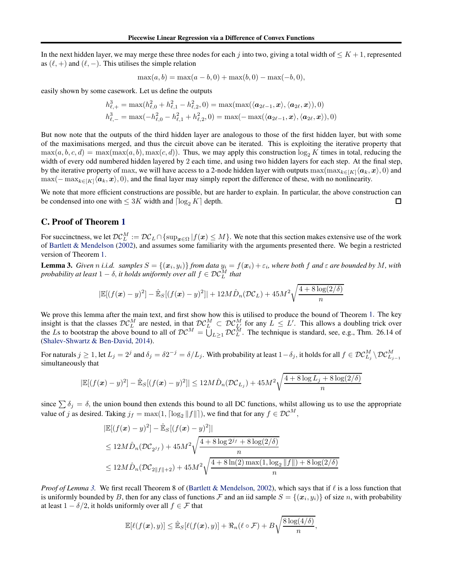<span id="page-15-0"></span>In the next hidden layer, we may merge these three nodes for each j into two, giving a total width of  $\leq K+1$ , represented as  $(\ell, +)$  and  $(\ell, -)$ . This utilises the simple relation

$$
\max(a, b) = \max(a - b, 0) + \max(b, 0) - \max(-b, 0),
$$

easily shown by some casework. Let us define the outputs

$$
h_{\ell,+}^3 = \max(h_{\ell,0}^2 + h_{\ell,1}^2 - h_{\ell,2}^2, 0) = \max(\max(\langle \mathbf{a}_{2\ell-1}, \mathbf{x} \rangle, \langle \mathbf{a}_{2\ell}, \mathbf{x} \rangle), 0)
$$
  

$$
h_{\ell,-}^3 = \max(-h_{\ell,0}^2 - h_{\ell,1}^2 + h_{\ell,2}^2, 0) = \max(-\max(\langle \mathbf{a}_{2\ell-1}, \mathbf{x} \rangle, \langle \mathbf{a}_{2\ell}, \mathbf{x} \rangle), 0)
$$

But now note that the outputs of the third hidden layer are analogous to those of the first hidden layer, but with some of the maximisations merged, and thus the circuit above can be iterated. This is exploiting the iterative property that  $\max(a, b, c, d) = \max(\max(a, b), \max(c, d))$ . Thus, we may apply this construction  $\log_2 K$  times in total, reducing the width of every odd numbered hidden layered by 2 each time, and using two hidden layers for each step. At the final step, by the iterative property of max, we will have access to a 2-node hidden layer with outputs  $\max(\max_{k \in [K]} \langle a_k, x \rangle, 0)$  and  $\max(-\max_{k\in[K]} \langle a_k, x \rangle, 0)$ , and the final layer may simply report the difference of these, with no nonlinearity.

We note that more efficient constructions are possible, but are harder to explain. In particular, the above construction can be condensed into one with  $\leq 3K$  width and  $\lceil \log_2 K \rceil$  depth.  $\Box$ 

## C. Proof of Theorem [1](#page-4-0)

For succinctness, we let  $\mathcal{DC}_L^M := \mathcal{DC}_L \cap \{\sup_{\bm{x} \in \Omega} | f(\bm{x}) \leq M\}$ . We note that this section makes extensive use of the work of [Bartlett & Mendelson](#page-9-0) [\(2002\)](#page-9-0), and assumes some familiarity with the arguments presented there. We begin a restricted version of Theorem [1.](#page-4-0)

**Lemma 3.** Given n i.i.d. samples  $S = \{(x_i, y_i)\}$  from data  $y_i = f(x_i) + \varepsilon_i$ , where both f and  $\varepsilon$  are bounded by M, with *probability at least*  $1 - \delta$ , *it holds uniformly over all*  $f \in \mathcal{DC}_L^M$  *that* 

$$
|\mathbb{E}[(f(\boldsymbol{x})-y)^2] - \hat{\mathbb{E}}_S[(f(\boldsymbol{x})-y)^2]| + 12M\hat{D}_n(\mathcal{DC}_L) + 45M^2\sqrt{\frac{4+8\log(2/\delta)}{n}}
$$

We prove this lemma after the main text, and first show how this is utilised to produce the bound of Theorem [1.](#page-4-0) The key insight is that the classes  $\mathcal{DC}_{L}^{M}$  are nested, in that  $\mathcal{DC}_{L}^{M} \subset \mathcal{DC}_{L}^{M}$  for any  $L \leq L'$ . This allows a doubling trick over the Ls to bootstrap the above bound to all of  $DC^M = \overline{U}_{L \geq 1} DC^M$ . The technique is standard, see, e.g., Thm. 26.14 of [\(Shalev-Shwartz & Ben-David,](#page-10-0) [2014\)](#page-10-0).

For naturals  $j\geq 1$ , let  $L_j=2^j$  and  $\delta_j=\delta 2^{-j}=\delta/L_j.$  With probability at least  $1-\delta_j,$  it holds for all  $f\in\mathcal{DC}_{L_j}^M\setminus\mathcal{DC}_{L_{j-1}}^M$ simultaneously that

$$
|\mathbb{E}[(f(\boldsymbol{x}) - y)^2] - \hat{\mathbb{E}}_S[(f(\boldsymbol{x}) - y)^2]| \le 12M\hat{D}_n(\mathcal{DC}_{L_j}) + 45M^2\sqrt{\frac{4 + 8\log L_j + 8\log(2/\delta)}{n}}
$$

since  $\sum \delta_i = \delta$ , the union bound then extends this bound to all DC functions, whilst allowing us to use the appropriate value of j as desired. Taking  $j_f = \max(1, \lceil \log_2 ||f|| \rceil)$ , we find that for any  $f \in \mathcal{DC}^M$ ,

$$
|\mathbb{E}[(f(\mathbf{x}) - y)^2] - \hat{\mathbb{E}}_S[(f(\mathbf{x}) - y)^2]|
$$
  
\n
$$
\leq 12M\hat{D}_n(\mathcal{DC}_{2^j f}) + 45M^2\sqrt{\frac{4 + 8\log 2^{j_f} + 8\log(2/\delta)}{n}}
$$
  
\n
$$
\leq 12M\hat{D}_n(\mathcal{DC}_{2||f||+2}) + 45M^2\sqrt{\frac{4 + 8\ln(2)\max(1, \log_2 ||f||) + 8\log(2/\delta)}{n}}
$$

*Proof of Lemma* 3. We first recall Theorem 8 of [\(Bartlett & Mendelson,](#page-9-0) [2002\)](#page-9-0), which says that if  $\ell$  is a loss function that is uniformly bounded by B, then for any class of functions F and an iid sample  $S = \{(x_i, y_i)\}\$  of size n, with probability at least  $1 - \delta/2$ , it holds uniformly over all  $f \in \mathcal{F}$  that

$$
\mathbb{E}[\ell(f(\boldsymbol{x}),y)] \leq \hat{\mathbb{E}}_S[\ell(f(\boldsymbol{x}),y)] + \Re_n(\ell \circ \mathcal{F}) + B\sqrt{\frac{8\log(4/\delta)}{n}},
$$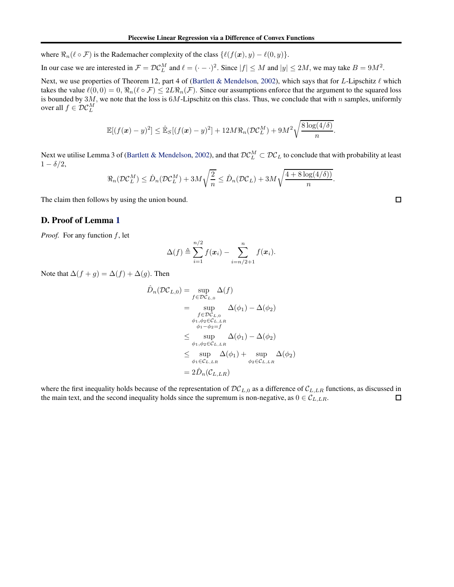where  $\Re_n(\ell \circ \mathcal{F})$  is the Rademacher complexity of the class  $\{\ell(f(\bm{x}), y) - \ell(0, y)\}.$ 

In our case we are interested in  $\mathcal{F} = \mathcal{DC}_L^M$  and  $\ell = (-, \cdot)^2$ . Since  $|f| \le M$  and  $|y| \le 2M$ , we may take  $B = 9M^2$ .

Next, we use properties of Theorem 12, part 4 of [\(Bartlett & Mendelson,](#page-9-0) [2002\)](#page-9-0), which says that for L-Lipschitz  $ℓ$  which takes the value  $\ell(0,0) = 0$ ,  $\Re_n(\ell \circ \mathcal{F}) \leq 2L\Re_n(\mathcal{F})$ . Since our assumptions enforce that the argument to the squared loss is bounded by 3M, we note that the loss is  $6M$ -Lipschitz on this class. Thus, we conclude that with n samples, uniformly over all  $f \in \mathcal{DC}_L^M$ 

$$
\mathbb{E}[(f(\boldsymbol{x})-y)^2] \leq \hat{\mathbb{E}}_S[(f(\boldsymbol{x})-y)^2] + 12M\Re_n(\mathcal{DC}_L^M) + 9M^2\sqrt{\frac{8\log(4/\delta)}{n}}.
$$

Next we utilise Lemma 3 of [\(Bartlett & Mendelson](#page-9-0), [2002\)](#page-9-0), and that  $DC_L^M \subset DC_L$  to conclude that with probability at least  $1 - \delta/2$ ,

$$
\Re_n(\mathcal{DC}_L^M) \leq \hat{D}_n(\mathcal{DC}_L^M) + 3M\sqrt{\frac{2}{n}} \leq \hat{D}_n(\mathcal{DC}_L) + 3M\sqrt{\frac{4 + 8\log(4/\delta)}{n}}.
$$

The claim then follows by using the union bound.

## D. Proof of Lemma [1](#page-6-0)

*Proof.* For any function  $f$ , let

$$
\Delta(f) \triangleq \sum_{i=1}^{n/2} f(\boldsymbol{x}_i) - \sum_{i=n/2+1}^{n} f(\boldsymbol{x}_i).
$$

Note that  $\Delta(f + g) = \Delta(f) + \Delta(g)$ . Then

$$
\hat{D}_n(\mathcal{DC}_{L,0}) = \sup_{f \in \mathcal{DC}_{L,0}} \Delta(f)
$$
\n
$$
= \sup_{f \in \mathcal{DC}_{L,0}} \Delta(\phi_1) - \Delta(\phi_2)
$$
\n
$$
\phi_1, \phi_2 \in C_{L,LR}
$$
\n
$$
\phi_1 - \phi_2 = f
$$
\n
$$
\leq \sup_{\phi_1, \phi_2 \in C_{L,LR}} \Delta(\phi_1) - \Delta(\phi_2)
$$
\n
$$
\leq \sup_{\phi_1, \phi_2 \in C_{L,LR}} \Delta(\phi_1) + \sup_{\phi_2 \in C_{L,LR}} \Delta(\phi_2)
$$
\n
$$
= 2\hat{D}_n(C_{L,LR})
$$

where the first inequality holds because of the representation of  $\mathcal{DC}_{L,0}$  as a difference of  $\mathcal{C}_{L,LR}$  functions, as discussed in the main text, and the second inequality holds since the supremum is non-negative, the main text, and the second inequality holds since the supremum is non-negative, as  $0 \in C_{L,LR}$ .

 $\Box$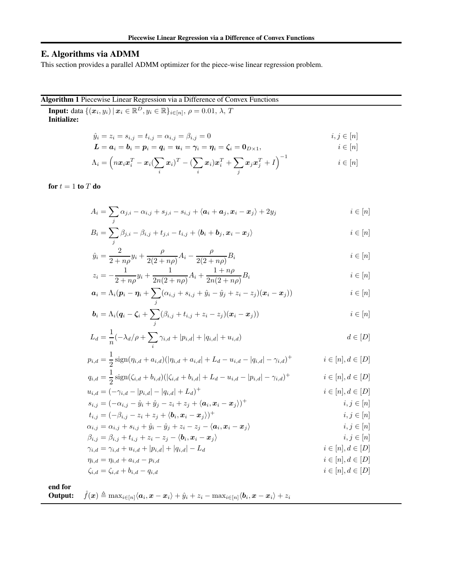# <span id="page-17-0"></span>E. Algorithms via ADMM

This section provides a parallel ADMM optimizer for the piece-wise linear regression problem.

# Algorithm 1 Piecewise Linear Regression via a Difference of Convex Functions

**Input:** data  $\{(x_i, y_i) | x_i \in \mathbb{R}^D, y_i \in \mathbb{R}\}_{i \in [n]}, \rho = 0.01, \lambda, T$ Initialize:

$$
\hat{y}_i = z_i = s_{i,j} = t_{i,j} = \alpha_{i,j} = \beta_{i,j} = 0 \qquad i, j \in [n]
$$

$$
\boldsymbol{L} = \boldsymbol{a}_i = \boldsymbol{b}_i = \boldsymbol{p}_i = \boldsymbol{q}_i = \boldsymbol{u}_i = \boldsymbol{\gamma}_i = \boldsymbol{\eta}_i = \boldsymbol{\zeta}_i = \boldsymbol{0}_{D\times 1}, \qquad i \in [n]
$$

$$
\Lambda_i = \left( n \boldsymbol{x}_i \boldsymbol{x}_i^T - \boldsymbol{x}_i (\sum_i \boldsymbol{x}_i)^T - (\sum_i \boldsymbol{x}_i) \boldsymbol{x}_i^T + \sum_j \boldsymbol{x}_j \boldsymbol{x}_j^T + I \right)^{-1} \qquad i \in [n]
$$

for  $t = 1$  to  $T$  do

$$
A_i = \sum_j \alpha_{j,i} - \alpha_{i,j} + s_{j,i} - s_{i,j} + \langle \mathbf{a}_i + \mathbf{a}_j, \mathbf{x}_i - \mathbf{x}_j \rangle + 2y_j \qquad i \in [n]
$$

$$
B_i = \sum_j \beta_{j,i} - \beta_{i,j} + t_{j,i} - t_{i,j} + \langle \mathbf{b}_i + \mathbf{b}_j, \mathbf{x}_i - \mathbf{x}_j \rangle \qquad i \in [n]
$$

$$
\hat{y}_i = \frac{2}{2 + n\rho} y_i + \frac{\rho}{2(2 + n\rho)} A_i - \frac{\rho}{2(2 + n\rho)} B_i
$$
\n $i \in [n]$ 

$$
z_i = -\frac{1}{2 + n\rho}y_i + \frac{1}{2n(2 + n\rho)}A_i + \frac{1 + n\rho}{2n(2 + n\rho)}B_i
$$
  $i \in [n]$ 

$$
\boldsymbol{a}_i = \Lambda_i (\boldsymbol{p}_i - \boldsymbol{\eta}_i + \sum_j (\alpha_{i,j} + s_{i,j} + \hat{y}_i - \hat{y}_j + z_i - z_j)(\boldsymbol{x}_i - \boldsymbol{x}_j)) \qquad i \in [n]
$$

$$
\boldsymbol{b}_i = \Lambda_i (\boldsymbol{q}_i - \boldsymbol{\zeta}_i + \sum_j (\beta_{i,j} + t_{i,j} + z_i - z_j)(\boldsymbol{x}_i - \boldsymbol{x}_j)) \qquad i \in [n]
$$

$$
L_d = \frac{1}{n}(-\lambda_d/\rho + \sum_i \gamma_{i,d} + |p_{i,d}| + |q_{i,d}| + u_{i,d})
$$
\n $d \in [D]$ 

$$
p_{i,d} = \frac{1}{2} \operatorname{sign}(\eta_{i,d} + a_{i,d}) (|\eta_{i,d} + a_{i,d}| + L_d - u_{i,d} - |q_{i,d}| - \gamma_{i,d})^+ \qquad i \in [n], d \in [D]
$$
  

$$
q_{i,d} = \frac{1}{2} \operatorname{sign}(\zeta_{i,d} + b_{i,d}) (|\zeta_{i,d} + b_{i,d}| + L_d - u_{i,d} - |p_{i,d}| - \gamma_{i,d})^+ \qquad i \in [n], d \in [D]
$$

$$
q_{i,d} = \frac{1}{2} \operatorname{sign}(\zeta_{i,d} + b_{i,d}) (|\zeta_{i,d} + b_{i,d}| + L_d - u_{i,d} - |p_{i,d}| - \gamma_{i,d})^+ \qquad i \in [n], d \in [D]
$$
  

$$
u_{i,d} = (-\gamma_{i,d} - |p_{i,d}| - |q_{i,d}| + L_d)^+ \qquad i \in [n], d \in [D]
$$

$$
u_{i,d} = (-\gamma_{i,d} - |p_{i,d}| - |q_{i,d}| + L_d)^+ \qquad i \in [n], d
$$

$$
s_{i,j} = (-\alpha_{i,j} - \hat{y}_i + \hat{y}_j - z_i + z_j + \langle \mathbf{a}_i, \mathbf{x}_i - \mathbf{x}_j \rangle)^+
$$
\n
$$
t_{i,j} = (-\beta_{i,j} - z_i + z_j + \langle \mathbf{b}_i, \mathbf{x}_i - \mathbf{x}_j \rangle)^+
$$
\n
$$
\alpha_{i,j} = \alpha_{i,j} + s_{i,j} + \hat{y}_i - \hat{y}_j + z_i - z_j - \langle \mathbf{a}_i, \mathbf{x}_i - \mathbf{x}_j \rangle
$$
\n
$$
\beta_{i,j} = \beta_{i,j} + t_{i,j} + z_i - z_j - \langle \mathbf{b}_i, \mathbf{x}_i - \mathbf{x}_j \rangle
$$
\n
$$
i, j \in [n]
$$
\n
$$
\beta_{i,j} = \beta_{i,j} + t_{i,j} + z_i - z_j - \langle \mathbf{b}_i, \mathbf{x}_i - \mathbf{x}_j \rangle
$$
\n
$$
i, j \in [n]
$$

$$
\gamma_{i,d} = \gamma_{i,d} + u_{i,d} + |p_{i,d}| + |q_{i,d}| - L_d \qquad i \in [n], d \in [D]
$$
  
\n
$$
\eta_{i,d} = \eta_{i,d} + a_{i,d} - p_{i,d} \qquad i \in [n], d \in [D]
$$
  
\n
$$
\zeta_{i,d} = \zeta_{i,d} + b_{i,d} - q_{i,d} \qquad i \in [n], d \in [D]
$$

$$
\zeta_{i,d} = \zeta_{i,d} + b_{i,d} - q_{i,d}
$$

#### end for

**Output:** 
$$
\hat{f}(\boldsymbol{x}) \triangleq \max_{i \in [n]} \langle \boldsymbol{a}_i, \boldsymbol{x} - \boldsymbol{x}_i \rangle + \hat{y}_i + z_i - \max_{i \in [n]} \langle \boldsymbol{b}_i, \boldsymbol{x} - \boldsymbol{x}_i \rangle + z_i
$$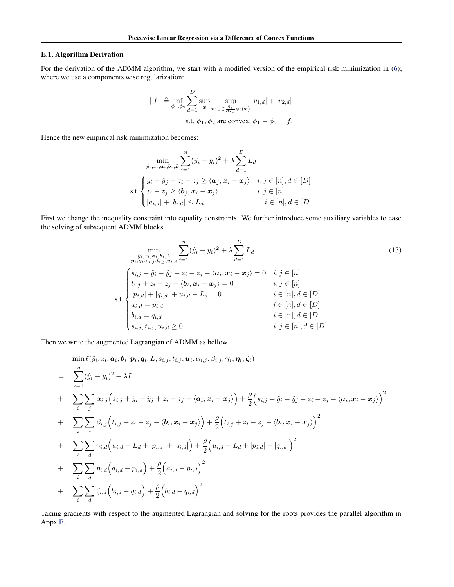#### E.1. Algorithm Derivation

For the derivation of the ADMM algorithm, we start with a modified version of the empirical risk minimization in [\(6\)](#page-5-0); where we use a components wise regularization:

$$
||f|| \triangleq \inf_{\phi_1, \phi_2} \sum_{d=1}^{D} \sup_{\mathbf{x}} \sup_{v_{i,d} \in \frac{\partial_{\mathbf{x}}}{\partial x_d} \phi_i(\mathbf{x})} |v_{1,d}| + |v_{2,d}|
$$
  
s.t.  $\phi_1, \phi_2$  are convex,  $\phi_1 - \phi_2 = f$ ,

Hence the new empirical risk minimization becomes:

$$
\min_{\hat{y}_i, z_i, \mathbf{a}_i, \mathbf{b}_i, L} \sum_{i=1}^n (\hat{y}_i - y_i)^2 + \lambda \sum_{d=1}^D L_d
$$
\n
$$
\text{s.t.} \begin{cases} \hat{y}_i - \hat{y}_j + z_i - z_j \ge \langle \mathbf{a}_j, \mathbf{x}_i - \mathbf{x}_j \rangle & i, j \in [n], d \in [D] \\ z_i - z_j \ge \langle \mathbf{b}_j, \mathbf{x}_i - \mathbf{x}_j \rangle & i, j \in [n] \\ |a_{i,d}| + |b_{i,d}| \le L_d & i \in [n], d \in [D] \end{cases}
$$

First we change the inequality constraint into equality constraints. We further introduce some auxiliary variables to ease the solving of subsequent ADMM blocks.

$$
\min_{\substack{\hat{y}_i, z_i, a_i, b_i, L \\ \mathbf{p}_i, \mathbf{q}_i, s_{i,j}, t_{i,j}, u_{i,d}}} \sum_{i=1}^n (\hat{y}_i - y_i)^2 + \lambda \sum_{d=1}^D L_d
$$
\n
$$
\left\{ \begin{aligned}\n s_{i,j} + \hat{y}_i - \hat{y}_j + z_i - z_j - \langle a_i, x_i - x_j \rangle &= 0 & i, j \in [n] \\
 t_{i,j} + z_i - z_j - \langle b_i, x_i - x_j \rangle &= 0 & i, j \in [n] \\
 |p_{i,d}| + |q_{i,d}| + u_{i,d} - L_d &= 0 & i \in [n], d \in [D] \\
 a_{i,d} = p_{i,d} & i \in [n], d \in [D] \\
 b_{i,d} = q_{i,d} & i \in [n], d \in [D] \\
 s_{i,j}, t_{i,j}, u_{i,d} \ge 0 & i, j \in [n], d \in [D]\n \end{aligned} \right.
$$
\n
$$
(13)
$$

Then we write the augmented Lagrangian of ADMM as bellow.

$$
\min_{i} \ell(\hat{y}_{i}, z_{i}, a_{i}, b_{i}, p_{i}, q_{i}, L, s_{i,j}, t_{i,j}, a_{i}, \alpha_{i,j}, \beta_{i,j}, \gamma_{i}, \eta_{i}, \zeta_{i})
$$
\n
$$
= \sum_{i=1}^{n} (\hat{y}_{i} - y_{i})^{2} + \lambda L
$$
\n
$$
+ \sum_{i} \sum_{j} \alpha_{i,j} (s_{i,j} + \hat{y}_{i} - \hat{y}_{j} + z_{i} - z_{j} - \langle a_{i}, x_{i} - x_{j} \rangle) + \frac{\rho}{2} (s_{i,j} + \hat{y}_{i} - \hat{y}_{j} + z_{i} - z_{j} - \langle a_{i}, x_{i} - x_{j} \rangle)^{2}
$$
\n
$$
+ \sum_{i} \sum_{j} \beta_{i,j} (t_{i,j} + z_{i} - z_{j} - \langle b_{i}, x_{i} - x_{j} \rangle) + \frac{\rho}{2} (t_{i,j} + z_{i} - z_{j} - \langle b_{i}, x_{i} - x_{j} \rangle)^{2}
$$
\n
$$
+ \sum_{i} \sum_{d} \gamma_{i,d} (u_{i,d} - L_{d} + |p_{i,d}| + |q_{i,d}|) + \frac{\rho}{2} (u_{i,d} - L_{d} + |p_{i,d}| + |q_{i,d}|)^{2}
$$
\n
$$
+ \sum_{i} \sum_{d} \eta_{i,d} (a_{i,d} - p_{i,d}) + \frac{\rho}{2} (a_{i,d} - p_{i,d})^{2}
$$
\n
$$
+ \sum_{i} \sum_{d} \zeta_{i,d} (b_{i,d} - q_{i,d}) + \frac{\rho}{2} (b_{i,d} - q_{i,d})^{2}
$$

Taking gradients with respect to the augmented Lagrangian and solving for the roots provides the parallel algorithm in Appx [E.](#page-17-0)